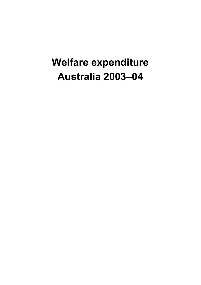# **Welfare expenditure Australia 2003–04**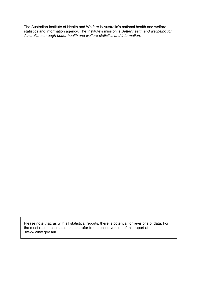The Australian Institute of Health and Welfare is Australia's national health and welfare statistics and information agency. The Institute's mission is *Better health and wellbeing for Australians through better health and welfare statistics and information*.

Please note that, as with all statistical reports, there is potential for revisions of data. For the most recent estimates, please refer to the online version of this report at <www.aihw.gov.au>.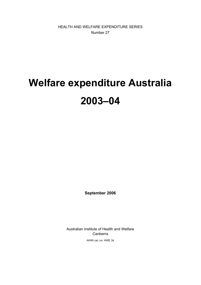HEALTH AND WELFARE EXPENDITURE SERIES Number 27

# **Welfare expenditure Australia 2003–04**

**September 2006** 

Australian Institute of Health and Welfare Canberra

AIHW cat. no. HWE 34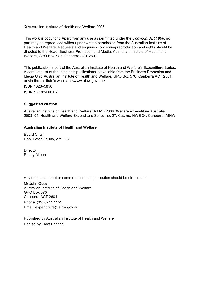© Australian Institute of Health and Welfare 2006

This work is copyright. Apart from any use as permitted under the *Copyright Act 1968*, no part may be reproduced without prior written permission from the Australian Institute of Health and Welfare. Requests and enquiries concerning reproduction and rights should be directed to the Head, Business Promotion and Media, Australian Institute of Health and Welfare, GPO Box 570, Canberra ACT 2601.

This publication is part of the Australian Institute of Health and Welfare's Expenditure Series. A complete list of the Institute's publications is available from the Business Promotion and Media Unit, Australian Institute of Health and Welfare, GPO Box 570, Canberra ACT 2601, or via the Institute's web site <www.aihw.gov.au>.

ISSN 1323–5850 ISBN 1 74024 601 2

#### **Suggested citation**

Australian Institute of Health and Welfare (AIHW) 2006. Welfare expenditure Australia 2003–04. Health and Welfare Expenditure Series no. 27. Cat. no. HWE 34. Canberra: AIHW.

#### **Australian Institute of Health and Welfare**

Board Chair Hon. Peter Collins, AM, QC

**Director** Penny Allbon

Any enquiries about or comments on this publication should be directed to:

Mr John Goss Australian Institute of Health and Welfare GPO Box 570 Canberra ACT 2601 Phone: (02) 6244 1151 Email: expenditure@aihw.gov.au

Published by Australian Institute of Health and Welfare Printed by Elect Printing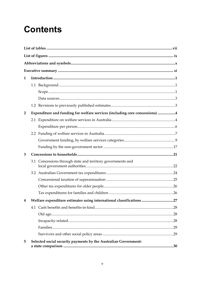# **Contents**

| 1              |                                                                             |  |
|----------------|-----------------------------------------------------------------------------|--|
|                |                                                                             |  |
|                |                                                                             |  |
|                |                                                                             |  |
|                |                                                                             |  |
| $\overline{2}$ | Expenditure and funding for welfare services (including core concessions) 4 |  |
|                |                                                                             |  |
|                |                                                                             |  |
|                |                                                                             |  |
|                |                                                                             |  |
|                |                                                                             |  |
| 3              |                                                                             |  |
|                | 3.1 Concessions through state and territory governments and                 |  |
|                |                                                                             |  |
|                |                                                                             |  |
|                |                                                                             |  |
|                |                                                                             |  |
| 4              | Welfare expenditure estimates using international classifications 27        |  |
|                |                                                                             |  |
|                |                                                                             |  |
|                |                                                                             |  |
|                |                                                                             |  |
|                |                                                                             |  |
| 5              | Selected social security payments by the Australian Government:             |  |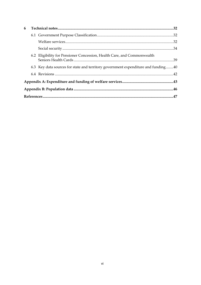| 6 |  |                                                                                   |  |  |  |
|---|--|-----------------------------------------------------------------------------------|--|--|--|
|   |  |                                                                                   |  |  |  |
|   |  |                                                                                   |  |  |  |
|   |  |                                                                                   |  |  |  |
|   |  | 6.2 Eligibility for Pensioner Concession, Health Care, and Commonwealth           |  |  |  |
|   |  | 6.3 Key data sources for state and territory government expenditure and funding40 |  |  |  |
|   |  |                                                                                   |  |  |  |
|   |  |                                                                                   |  |  |  |
|   |  |                                                                                   |  |  |  |
|   |  |                                                                                   |  |  |  |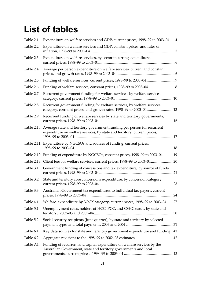# **List of tables**

| <b>Table 2.1:</b> | Expenditure on welfare services and GDP, current prices, 1998-99 to 2003-044                                                                                    |
|-------------------|-----------------------------------------------------------------------------------------------------------------------------------------------------------------|
| Table 2.2:        | Expenditure on welfare services and GDP, constant prices, and rates of                                                                                          |
| Table 2.3:        | Expenditure on welfare services, by sector incurring expenditure,                                                                                               |
| Table 2.4:        | Average per person expenditure on welfare services, current and constant                                                                                        |
| Table 2.5:        |                                                                                                                                                                 |
| Table 2.6:        |                                                                                                                                                                 |
| Table 2.7:        | Recurrent government funding for welfare services, by welfare services                                                                                          |
| Table 2.8:        | Recurrent government funding for welfare services, by welfare services<br>category, constant prices, and growth rates, 1998-99 to 2003-04 13                    |
| Table 2.9:        | Recurrent funding of welfare services by state and territory governments,                                                                                       |
|                   | Table 2.10: Average state and territory government funding per person for recurrent<br>expenditure on welfare services, by state and territory, current prices, |
|                   | Table 2.11: Expenditure by NGCSOs and sources of funding, current prices,                                                                                       |
|                   | Table 2.12: Funding of expenditure by NGCSOs, constant prices, 1998-99 to 2003-0419                                                                             |
|                   | Table 2.13: Client fees for welfare services, current prices, 1998-99 to 2003-0420                                                                              |
|                   | Table 3.1: Government funding of concessions and tax expenditure, by source of funds,                                                                           |
|                   | Table 3.2: State and territory core concessions expenditure, by concession category,                                                                            |
|                   | Table 3.3: Australian Government tax expenditures to individual tax-payers, current                                                                             |
| Table 4.1:        | Welfare expenditure by SOCX category, current prices, 1998-99 to 2003-0427                                                                                      |
| Table 5.1:        | Unemployment rates, holders of HCC, PCC, and CSHC cards, by state and                                                                                           |
| Table 5.2:        | Social security recipients (June quarter), by state and territory by selected                                                                                   |
| Table 6.1:        | Key data sources for state and territory government expenditure and funding41                                                                                   |
| Table 6.2:        |                                                                                                                                                                 |
| Table A1:         | Funding of recurrent and capital expenditure on welfare services by the<br>Australian Government, state and territory governments and local                     |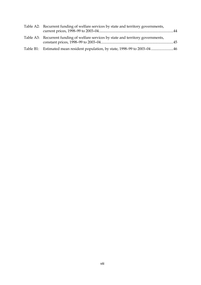| Table A2: Recurrent funding of welfare services by state and territory governments, |  |
|-------------------------------------------------------------------------------------|--|
| Table A3: Recurrent funding of welfare services by state and territory governments, |  |
| Table B1: Estimated mean resident population, by state, 1998–99 to 2003–04 46       |  |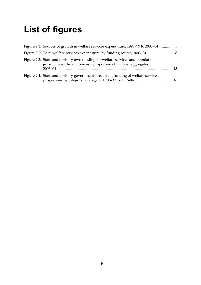# **List of figures**

| Figure 2.1: Sources of growth in welfare services expenditure, 1998-99 to 2003-045                                                                      |
|---------------------------------------------------------------------------------------------------------------------------------------------------------|
|                                                                                                                                                         |
| Figure 2.3: State and territory own funding for welfare services and population,<br>jurisdictional distribution as a proportion of national aggregates, |
| Figure 2.4: State and territory governments' recurrent funding of welfare services,                                                                     |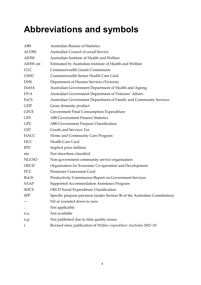# **Abbreviations and symbols**

| <b>ABS</b>           | <b>Australian Bureau of Statistics</b>                                     |
|----------------------|----------------------------------------------------------------------------|
| <b>ACOSS</b>         | Australian Council of social Service                                       |
| AIHW                 | Australian Institute of Health and Welfare                                 |
| AIHW est             | Estimated by Australian Institute of Health and Welfare                    |
| <b>CGC</b>           | <b>Commonwealth Grants Commission</b>                                      |
| <b>CSHC</b>          | Commonwealth Senior Health Care Card                                       |
| <b>DHS</b>           | Department of Human Services (Victoria)                                    |
| <b>DoHA</b>          | Australian Government Department of Health and Ageing                      |
| <b>DVA</b>           | Australian Government Department of Veterans' Affairs                      |
| FaCS                 | Australian Government Department of Family and Community Services          |
| <b>GDP</b>           | Gross domestic product                                                     |
| <b>GFCE</b>          | Government Final Consumption Expenditure                                   |
| <b>GFS</b>           | <b>ABS Government Finance Statistics</b>                                   |
| <b>GPC</b>           | ABS Government Purpose Classification                                      |
| <b>GST</b>           | Goods and Services Tax                                                     |
| <b>HACC</b>          | Home and Community Care Program                                            |
| <b>HCC</b>           | <b>Health Care Card</b>                                                    |
| <b>IPD</b>           | Implicit price deflator                                                    |
| nec                  | Not elsewhere classified                                                   |
| <b>NGCSO</b>         | Non-government community service organisation                              |
| <b>OECD</b>          | Organisation for Economic Co-operation and Development                     |
| PCC                  | <b>Pensioner Concession Card</b>                                           |
| RoGS                 | Productivity Commission Report on Government Services                      |
| <b>SAAP</b>          | Supported Accommodation Assistance Program                                 |
| <b>SOCX</b>          | <b>OECD</b> Social Expenditure Classification                              |
| <b>SPP</b>           | Specific purpose payment (under Section 96 of the Australian Constitution) |
|                      | Nil or rounded down to zero                                                |
| $\ddot{\phantom{0}}$ | Not applicable                                                             |
| n.a.                 | Not available                                                              |
| n.p.                 | Not published due to data quality issues                                   |
| r                    | Revised since publication of Welfare expenditure Australia 2002-03         |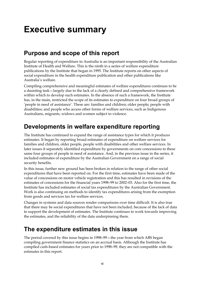# **Executive summary**

### **Purpose and scope of this report**

Regular reporting of expenditure in Australia is an important responsibility of the Australian Institute of Health and Welfare. This is the ninth in a series of welfare expenditure publications by the Institute that began in 1995. The Institute reports on other aspects of social expenditure in the health expenditure publication and other publications like Australia's welfare.

Compiling comprehensive and meaningful estimates of welfare expenditures continues to be a daunting task—largely due to the lack of a clearly defined and comprehensive framework within which to develop such estimates. In the absence of such a framework, the Institute has, in the main, restricted the scope of its estimates to expenditure on four broad groups of 'people in need of assistance'. These are: families and children; older people; people with disabilities; and people who access other forms of welfare services, such as Indigenous Australians, migrants, widows and women subject to violence.

### **Developments in welfare expenditure reporting**

The Institute has continued to expand the range of assistance types for which it produces estimates. It began by reporting broad estimates of expenditure on welfare services for families and children, older people, people with disabilities and other welfare services. In later issues it separately identified expenditure by governments on core concessions to these same four groups of people in need of assistance. And, in the previous issue in the series, it included estimates of expenditure by the Australian Government on a range of social security benefits.

In this issue, further new ground has been broken in relation to the range of other social expenditures that have been reported on. For the first time, estimates have been made of the value of concessions on motor vehicle registration and this has resulted in revisions of the estimates of concessions for the financial years 1998–99 to 2002–03. Also for the first time, the Institute has included estimates of social tax expenditures by the Australian Government. Work is also continuing on methods to identify tax expenditures arising from the exemption from goods and services tax for welfare services.

Changes in systems and data sources render comparisons over time difficult. It is also true that there may be social expenditures that have not been included, because of the lack of data to support the development of estimates. The Institute continues to work towards improving the estimates, and the reliability of the data underpinning them.

### **The expenditure estimates in this issue**

The period covered by this issue begins in 1998–99—the year from which ABS began compiling government finance statistics on an accrual basis. Although the Institute has compiled cash-based estimates for years prior to 1998–99, they are not compatible with the estimates in this report.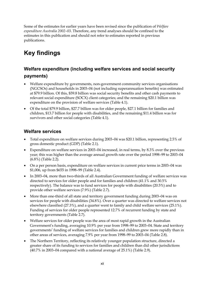Some of the estimates for earlier years have been revised since the publication of *Welfare expenditure Australia 2002–03*. Therefore, any trend analyses should be confined to the estimates in this publication and should not refer to estimates reported in previous publications.

### **Key findings**

### **Welfare expenditure (including welfare services and social security**

### **payments)**

- Welfare expenditure by governments, non-government community services organisations (NGCSOs) and households in 2003–04 (not including superannuation benefits) was estimated at \$79.9 billion. Of this, \$59.8 billion was social security benefits and other cash payments to relevant social expenditure (SOCX) client categories; and the remaining \$20.1 billion was expenditure on the provision of welfare services (Table 4.1).
- Of the total \$79.9 billion, \$27.7 billion was for older people, \$27.1 billion for families and children, \$13.7 billion for people with disabilities, and the remaining \$11.4 billion was for survivors and other social categories (Table 4.1).

### **Welfare services**

- Total expenditure on welfare services during 2003–04 was \$20.1 billion, representing 2.5% of gross domestic product (GDP) (Table 2.1).
- Expenditure on welfare services in 2003–04 increased, in real terms, by 8.3% over the previous year; this was higher than the average annual growth rate over the period 1998–99 to 2003–04 (6.8%) (Table 2.2).
- On a per person basis, expenditure on welfare services in current price terms in 2003–04 was \$1,006, up from \$655 in 1998–99 (Table 2.4).
- In 2003–04, more than two-thirds of all Australian Government funding of welfare services was directed to services for older people and for families and children (41.1% and 30.5% respectively). The balance was to fund services for people with disabilities (20.5%) and to provide other welfare services (7.9%) (Table 2.7).
- More than one-third of all state and territory government funding during 2003–04 was on services for people with disabilities (34.8%). Over a quarter was directed to welfare services not elsewhere classified (27.3%), and a quarter went to family and child welfare services (25.1%). Funding of services for older people represented 12.7% of recurrent funding by state and territory governments (Table 2.7).
- Welfare services for older people was the area of most rapid growth in the Australian Government's funding, averaging 10.9% per year from 1998–99 to 2003–04. State and territory governments' funding of welfare services for families and children grew more rapidly than in other areas of services, averaging 7.9% per year from 1998–99 to 2003–04 (Table 2.8).
- The Northern Territory, reflecting its relatively younger population structure, directed a greater share of its funding to services for families and children than did other jurisdictions (40.7% in 2003–04 compared with a national average of 25.1%) (Table 2.9).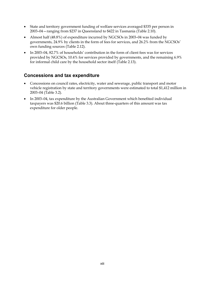- State and territory government funding of welfare services averaged \$335 per person in 2003–04—ranging from \$237 in Queensland to \$422 in Tasmania (Table 2.10).
- Almost half (48.8%) of expenditure incurred by NGCSOs in 2003–04 was funded by governments, 24.9% by clients in the form of fees for services, and 26.2% from the NGCSOs' own funding sources (Table 2.12).
- In 2003–04, 82.7% of households' contribution in the form of client fees was for services provided by NGCSOs, 10.4% for services provided by governments, and the remaining 6.9% for informal child care by the household sector itself (Table 2.13).

### **Concessions and tax expenditure**

- Concessions on council rates, electricity, water and sewerage, public transport and motor vehicle registration by state and territory governments were estimated to total \$1,412 million in 2003–04 (Table 3.2).
- In 2003–04, tax expenditure by the Australian Government which benefited individual taxpayers was \$20.6 billion (Table 3.3). About three-quarters of this amount was tax expenditure for older people.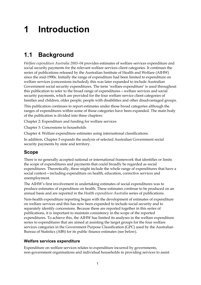# **1 Introduction**

### **1.1 Background**

*Welfare expenditure Australia 2003–04* provides estimates of welfare services expenditure and social security payments for the relevant welfare services client categories. It continues the series of publications released by the Australian Institute of Health and Welfare (AIHW) since the mid-1990s. Initially the range of expenditure had been limited to expenditure on welfare services (concessions included); this was later expanded to include Australian Government social security expenditures. The term 'welfare expenditure' is used throughout this publication to refer to the broad range of expenditures—welfare services and social security payments, which are provided for the four welfare service client categories of families and children, older people, people with disabilities and other disadvantaged groups.

This publication continues to report estimates under those broad categories although the ranges of expenditures within some of those categories have been expanded. The main body of the publication is divided into three chapters:

Chapter 2: Expenditure and funding for welfare services

Chapter 3: Concessions to households

Chapter 4: Welfare expenditure estimates using international classifications.

In addition, Chapter 5 expands the analysis of selected Australian Government social security payments by state and territory.

### **Scope**

There is no generally accepted national or international framework that identifies or limits the scope of expenditures and payments that could broadly be regarded as social expenditures. Theoretically, these might include the whole range of expenditures that have a social context—including expenditure on health, education, corrective services and unemployment.

The AIHW's first involvement in undertaking estimates of social expenditures was to produce estimates of expenditure on health. These estimates continue to be produced on an annual basis and are reported in the *Health expenditure Australia* series of publications.

Non-health expenditure reporting began with the development of estimates of expenditure on welfare services and this has now been expanded to include social security and to separately identify concessions. Because these are reported together in this series of publications, it is important to maintain consistency in the scope of the reported expenditures. To achieve this, the AIHW has limited its analyses in the welfare expenditure series to expenditures that are aimed at assisting the target groups for the four welfare services categories in the Government Purpose Classification (GPC) used by the Australian Bureau of Statistics (ABS) for its public finance estimates (see below).

### **Welfare services expenditure**

Expenditure on welfare services relates to expenditure incurred by governments, non-government organisations and individual households in providing services to assist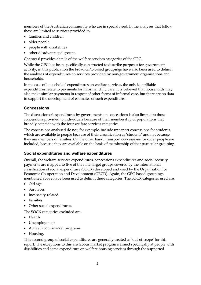members of the Australian community who are in special need. In the analyses that follow these are limited to services provided to:

- families and children
- older people
- people with disabilities
- other disadvantaged groups.

Chapter 6 provides details of the welfare services categories of the GPC.

While the GPC has been specifically constructed to describe purposes for government activity, in this publication the broad GPC-based groupings have also been used to delimit the analyses of expenditures on services provided by non-government organisations and households.

In the case of households' expenditures on welfare services, the only identifiable expenditures relate to payments for informal child care. It is believed that households may also make similar payments in respect of other forms of informal care, but there are no data to support the development of estimates of such expenditures.

### **Concessions**

The discussion of expenditures by governments on concessions is also limited to those concessions provided to individuals because of their membership of populations that broadly coincide with the four welfare services categories.

The concessions analysed do not, for example, include transport concessions for students, which are available to people because of their classification as 'students' and not because they are members of families. On the other hand, transport concessions for older people are included, because they are available on the basis of membership of that particular grouping.

### **Social expenditures and welfare expenditures**

Overall, the welfare services expenditures, concessions expenditures and social security payments are mapped to five of the nine target groups covered by the international classification of social expenditure (SOCX) developed and used by the Organisation for Economic Co-operation and Development (OECD). Again, the GPC-based groupings mentioned above have been used to delimit these categories. The SOCX categories used are:

- Old age
- Survivors
- Incapacity-related
- Families
- Other social expenditures.

The SOCX categories excluded are:

- Health
- Unemployment
- Active labour market programs
- Housing.

This second group of social expenditures are generally treated as 'out-of-scope' for this report. The exceptions to this are labour market programs aimed specifically at people with disabilities and some expenditure on welfare housing services through the supported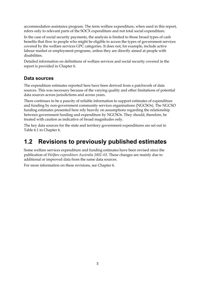accommodation assistance program. The term welfare expenditure, when used in this report, refers only to relevant parts of the SOCX expenditure and not total social expenditure.

In the case of social security payments, the analysis is limited to those broad types of cash benefits that flow to people who might be eligible to access the types of government services covered by the welfare services GPC categories. It does not, for example, include active labour market or employment programs, unless they are directly aimed at people with disabilities.

Detailed information on definitions of welfare services and social security covered in the report is provided in Chapter 6.

### **Data sources**

The expenditure estimates reported here have been derived from a patchwork of data sources. This was necessary because of the varying quality and other limitations of potential data sources across jurisdictions and across years.

There continues to be a paucity of reliable information to support estimates of expenditure and funding by non-government community services organisations (NGCSOs). The NGCSO funding estimates presented here rely heavily on assumptions regarding the relationship between government funding and expenditure by NGCSOs. They should, therefore, be treated with caution as indicative of broad magnitudes only.

The key data sources for the state and territory government expenditures are set out in Table 6.1 in Chapter 6.

### **1.2 Revisions to previously published estimates**

Some welfare services expenditure and funding estimates have been revised since the publication of *Welfare expenditure Australia 2002–03*. These changes are mainly due to additional or improved data from the same data sources.

For more information on these revisions, see Chapter 6.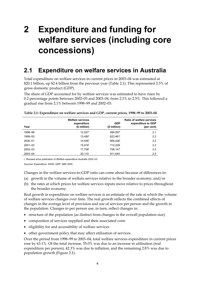# **2 Expenditure and funding for welfare services (including core concessions)**

### **2.1 Expenditure on welfare services in Australia**

Total expenditure on welfare services in current prices in 2003–04 was estimated at \$20.1 billion, up \$2.4 billion from the previous year (Table 2.1). This represented 2.5% of gross domestic product (GDP).

The share of GDP accounted for by welfare services was estimated to have risen by 0.2 percentage points between 2002–03 and 2003–04, from 2.3% to 2.5%. This followed a gradual rise from 2.1% between 1998–99 and 2002–03.

| Year        | <b>Welfare services</b><br>expenditure<br>(\$ million) | <b>GDP</b><br>(\$ million) | <b>Ratio of welfare services</b><br>expenditure to GDP<br>(per cent) |
|-------------|--------------------------------------------------------|----------------------------|----------------------------------------------------------------------|
| 1998-99     | $12,327$ <sup>r</sup>                                  | 589,597                    | 2.1                                                                  |
| 1999-00     | 13,490 <sup>r</sup>                                    | 623,461 <sup>r</sup>       | 2.2                                                                  |
| 2000-01     | 14.456 <sup>r</sup>                                    | 668.426                    | 2.2                                                                  |
| $2001 - 02$ | 15,918 <sup>r</sup>                                    | 713,229                    | 2.2                                                                  |
| $2002 - 03$ | 17,756 <sup>r</sup>                                    | 758,147 <sup>r</sup>       | 2.3                                                                  |
| 2003-04     | 20,110                                                 | 811,643                    | 2.5                                                                  |
|             |                                                        |                            |                                                                      |

| Table 2.1: Expenditure on welfare services and GDP, current prices, 1998-99 to 2003-04 |  |  |
|----------------------------------------------------------------------------------------|--|--|
|----------------------------------------------------------------------------------------|--|--|

r Revised since publication of *Welfare expenditure Australia 2002–03.* 

*Sources:* Expenditure: AIHW; GDP: ABS 2005.

Changes in the welfare services-to-GDP ratio can come about because of differences in:

- (a) growth in the volume of welfare services relative to the broader economy; and/or
- (b) the rates at which prices for welfare services inputs move relative to prices throughout the broader economy.

Real growth in expenditure on welfare services is an estimate of the rate at which the volume of welfare services changes over time. The real growth reflects the combined effects of changes in the average level of provision and use of services per person and the growth in the population. Changes in per person use, in turn, reflect changes in:

- structure of the population (as distinct from changes in the overall population size)
- composition of services supplied and their associated costs
- eligibility for and accessibility of welfare services
- other government policy that may affect utilisation of services.

Over the period from 1998–99 to 2003–04, total welfare services expenditure in current prices rose by 63.1%. Of the total increase, 55.0% was due to an increase in utilisation (real expenditure per person), 42.3% was due to inflation, and the remaining 2.8% was due to population growth (Figure 2.1).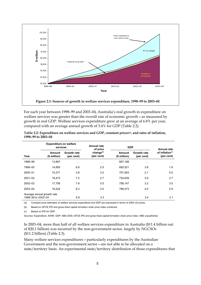

For each year between 1998–99 and 2003–04, Australia's real growth in expenditure on welfare services was greater than the overall rate of economic growth—as measured by growth in real GDP. Welfare services expenditure grew at an average of 6.8% per year, compared with an average annual growth of 3.4% for GDP (Table 2.2).

|                                                  | <b>Expenditure on welfare</b><br>services |                                  | Annual rate<br>of price             | <b>GDP</b>             |                           | <b>Annual rate</b>                        |
|--------------------------------------------------|-------------------------------------------|----------------------------------|-------------------------------------|------------------------|---------------------------|-------------------------------------------|
| Year                                             | Amount<br>(\$ million)                    | <b>Growth rate</b><br>(per cent) | change <sup>(b)</sup><br>(per cent) | Amount<br>(\$ million) | Growth rate<br>(per cent) | of inflation <sup>(c)</sup><br>(per cent) |
| 1998-99                                          | 13,867                                    | $\sim$ $\sim$                    | $\sim$ $\sim$                       | 667,168                | $\sim$                    | $\sim$ $\sim$                             |
| 1999-00                                          | 14,805                                    | 6.8                              | 2.5                                 | 692,521                | 3.8                       | 1.9                                       |
| 2000-01                                          | 15,371                                    | 3.8                              | 3.2                                 | 707.063                | 2.1                       | 5.0                                       |
| $2001 - 02$                                      | 16,473                                    | 7.2                              | 2.7                                 | 734,639                | 3.9                       | 2.7                                       |
| 2002-03                                          | 17.756                                    | 7.8                              | 3.5                                 | 758.147                | 3.2                       | 3.0                                       |
| 2003-04                                          | 19,224                                    | 8.3                              | 3.0                                 | 788,473                | 4.0                       | 2.9                                       |
| Average annual growth rate<br>1998-99 to 2003-04 |                                           | 6.8                              | 3.3                                 |                        | 3.4                       | 3.1                                       |

| Table 2.2: Expenditure on welfare services and GDP, constant prices <sup>(a)</sup> , and rates of inflation, |  |
|--------------------------------------------------------------------------------------------------------------|--|
| 1998-99 to 2003-04                                                                                           |  |

(a) Constant price estimates of welfare services expenditure and GDP are expressed in terms of 2002–03 prices.

(b) Based on GFCE IPD and gross fixed capital formation chain price index combined.

(c) Based on IPD for GDP.

*Sources:* Expenditure: AIHW; GDP: ABS 2005; GFCE IPD and gross fixed capital formation chain price index: ABS unpublished.

In 2003–04, more than half of all welfare services expenditure in Australia (\$11.4 billion out of \$20.1 billion) was incurred by the non-government sector, largely by NGCSOs (\$11.2 billion) (Table 2.3).

Many welfare services expenditures—particularly expenditures by the Australian Government and the non-government sector—are not able to be allocated on a state/territory basis. An experimental state/territory distribution of those expenditures that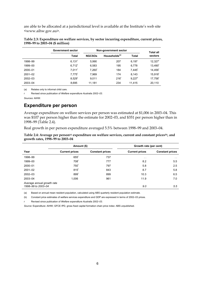are able to be allocated at a jurisdictional level is available at the Institute's web site <www.aihw.gov.au>.

|             | Government sector    | Non-government sector |                           |                      | <b>Total all</b>    |
|-------------|----------------------|-----------------------|---------------------------|----------------------|---------------------|
|             | <b>Total</b>         | <b>NGCSOS</b>         | Households <sup>(a)</sup> | <b>Total</b>         | sectors             |
| 1998-99     | $6,131$ <sup>r</sup> | 5,990                 | 207                       | 6.197                | 12.327              |
| 1999-00     | $6,712^{r}$          | 6,583                 | 195                       | 6,778                | 13,490 <sup>r</sup> |
| 2000-01     | $7.011$ <sup>r</sup> | $7.260$ <sup>r</sup>  | 184                       | $7.445$ <sup>r</sup> | 14,456 <sup>r</sup> |
| $2001 - 02$ | $7.775$ <sup>r</sup> | 7,969                 | 174                       | 8.143                | 15.918              |
| $2002 - 03$ | $8.529$ <sup>r</sup> | 9.011                 | 216 <sup>r</sup>          | $9.227$ <sup>r</sup> | 17,756 <sup>r</sup> |
| 2003-04     | 8.695                | 11.181                | 234                       | 11.415               | 20.110              |

| Table 2.3: Expenditure on welfare services, by sector incurring expenditure, current prices, |  |
|----------------------------------------------------------------------------------------------|--|
| 1998-99 to 2003-04 (\$ million)                                                              |  |

(a) Relates only to informal child care.

r Revised since publication of *Welfare expenditure Australia 2002–03.* 

*Sources:* AIHW.

### **Expenditure per person**

Average expenditure on welfare services per person was estimated at \$1,006 in 2003–04. This was \$107 per person higher than the estimate for 2002–03, and \$351 per person higher than in 1998–99 (Table 2.4).

Real growth in per person expenditure averaged 5.5% between 1998–99 and 2003–04.

Table 2.4: Average per person<sup>(a)</sup> expenditure on welfare services, current and constant prices<sup>(b)</sup>, and **growth rates, 1998–99 to 2003–04** 

|                                                  | Amount (\$)           |                        | Growth rate (per cent) |                        |  |
|--------------------------------------------------|-----------------------|------------------------|------------------------|------------------------|--|
| Year                                             | <b>Current prices</b> | <b>Constant prices</b> | <b>Current prices</b>  | <b>Constant prices</b> |  |
| 1998-99                                          | $655^{\circ}$         | 737                    | $\sim$                 | $\sim$ 10 $\pm$        |  |
| 1999-00                                          | 708 <sup>r</sup>      | 777                    | 8.2                    | 5.5                    |  |
| 2000-01                                          | 750 <sup>r</sup>      | 797                    | 5.8                    | 2.5                    |  |
| $2001 - 02$                                      | $815$ <sup>r</sup>    | 843                    | 8.7                    | 5.8                    |  |
| $2002 - 03$                                      | 899 <sup>r</sup>      | 899                    | 10.3                   | 6.5                    |  |
| 2003-04                                          | 1,006                 | 961                    | 11.9                   | 7.0                    |  |
| Average annual growth rate<br>1998-99 to 2003-04 |                       |                        | 9.0                    | 5.5                    |  |

(a) Based on annual mean resident population, calculated using ABS quarterly resident population estimate.

(b) Constant price estimates of welfare services expenditure and GDP are expressed in terms of 2002–03 prices.

r Revised since publication of *Welfare expenditure Australia 2002–03.* 

*Source:* Expenditure: AIHW; GFCE IPD, gross fixed capital formation chain price index: ABS unpublished.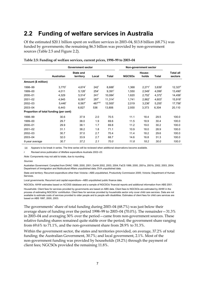### **2.2 Funding of welfare services in Australia**

Of the estimated \$20.1 billion spent on welfare services in 2003–04, \$13.8 billion (68.7%) was funded by governments; the remaining \$6.3 billion was provided by non-government sources (Table 2.5 and Figure 2.2).

|                                        |                      | <b>Government sector</b>      |                    |                       | Non-government sector |                      |                      |                             |
|----------------------------------------|----------------------|-------------------------------|--------------------|-----------------------|-----------------------|----------------------|----------------------|-----------------------------|
|                                        | <b>Australian</b>    | <b>State and</b><br>territory | Local              | Total                 | <b>NGCSOs</b>         | House-<br>holds      | Total                | <b>Total all</b><br>sectors |
| Amount (\$ million)                    |                      |                               |                    |                       |                       |                      |                      |                             |
| 1998-99                                | $3,770$ <sup>r</sup> | 4,674                         | $242^r$            | $8,688$ <sup>r</sup>  | 1,368                 | $2,271$ <sup>r</sup> | $3,639$ <sup>r</sup> | $12,327$ <sup>r</sup>       |
| 1999-00                                | 4,011                | $5,126^{r}$                   | $254^r$            | $9,391$ <sup>r</sup>  | 1,550                 | $2,549$ <sup>r</sup> | $4,099^{r}$          | 13,490                      |
| 2000-01                                | 4,329                | $5,514$ <sup>r</sup>          | $241$ <sup>r</sup> | 10,084                | 1,620                 | $2,752$ <sup>r</sup> | $4,372$ <sup>r</sup> | 14,456                      |
| $2001 - 02$                            | 4,945                | $6,081$ <sup>r</sup>          | $287$ <sup>r</sup> | $11,314$ <sup>r</sup> | 1,741                 | $2,862$ <sup>r</sup> | $4,603$ <sup>r</sup> | $15,918$ <sup>r</sup>       |
| 2002-03                                | $5,446$ <sup>r</sup> | $6,567$ <sup>r</sup>          | $487^{r(a)}$       | 12,500                | 2,019                 | 3,236'               | $5,255$ <sup>r</sup> | 17,756                      |
| 2003-04                                | 6,443                | 6,827                         | 536                | 13,806                | 2,930                 | 3,373                | 6,304                | 20,110                      |
| Proportion of total funding (per cent) |                      |                               |                    |                       |                       |                      |                      |                             |
| 1998-99                                | 30.6                 | 37.9                          | 2.0                | 70.5                  | 11.1                  | 18.4                 | 29.5                 | 100.0                       |
| 1999-00                                | 29.7                 | 38.0                          | 1.9                | 69.6                  | 11.5                  | 18.9                 | 30.4                 | 100.0                       |
| 2000-01                                | 29.9                 | 38.1                          | 1.7                | 69.8                  | 11.2                  | 19.0                 | 30.2                 | 100.0                       |
| $2001 - 02$                            | 31.1                 | 38.2                          | 1.8                | 71.1                  | 10.9                  | 18.0                 | 28.9                 | 100.0                       |
| 2002-03                                | 30.7                 | 37.0                          | 2.7                | 70.4                  | 11.4                  | 18.2                 | 29.6                 | 100.0                       |
| 2003-04                                | 32.0                 | 33.9                          | 2.7                | 68.7                  | 14.6                  | 16.8                 | 31.3                 | 100.0                       |
| 6-year average                         | 30.7                 | 37.2                          | 2.1                | 70.0                  | 11.8                  | 18.2                 | 30.0                 | 100.0                       |

|  |  |  |  | Table 2.5: Funding of welfare services, current prices, 1998-99 to 2003-04 |
|--|--|--|--|----------------------------------------------------------------------------|
|--|--|--|--|----------------------------------------------------------------------------|

(a) Appears to be break in series. The time series will be reviewed when additional observations become available.

r Revised since publication of *Welfare expenditure Australia 2002–03.* 

*Note:* Components may not add to totals, due to rounding.

#### *Sources*

Australian Government: Compiled from DHAC 1999, 2000, 2001; DoHA 2002, 2003, 2004; FaCS 1999, 2000, 2001a, 2001b, 2002, 2003, 2004; Department of Immigration and Multicultural Affairs unpublished data; DVA unpublished data.

State and territory: Recurrent expenditure other than Victoria—ABS unpublished, Productivity Commission 2005; Victoria: Department of Human Services.

Local governments: Recurrent and capital expenditure—ABS unpublished public finance data.

NGCSOs: AIHW estimates based on ACOSS database and a sample of NGCSOs' financial reports and additional information from ABS 2001.

Households: Client fees for services provided by governments are based on ABS data. Client fees to NGCSOs are estimated by AIHW in the process of estimating NGCSOs' contribution. Client fees for services provided by households sector only cover child care services. Data are not available to estimate costs of services provided to older people and to people with disabilities. Estimates of client fees for child care services are based on ABS 1997, 2000, 2003.

The governments' share of total funding during 2003–04 (68.7%) was just below their average share of funding over the period 1998–99 to 2003–04 (70.0%). The remainder—31.3% in 2003–04 and averaging 30% over the period—came from non-government sources. These relative funding shares remained quite stable over the period; the government share ranging from 69.6% to 71.1%, and the non-government share from 28.9% to 31.3%.

Within the government sector, the states and territories provided, on average, 37.2% of total funding; the Australian Government, 30.7%; and local government, 2.1%. Most of the non-government funding was provided by households (18.2%) through the payment of client fees; NGCSOs provided the remaining 11.8%.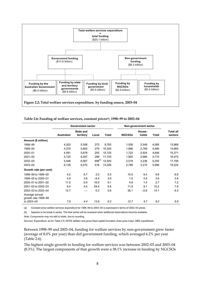

|                                       | <b>Government sector</b> |                               |             |              | Non-government sector |                 |              |                             |
|---------------------------------------|--------------------------|-------------------------------|-------------|--------------|-----------------------|-----------------|--------------|-----------------------------|
|                                       | <b>Australian</b>        | <b>State and</b><br>territory | Local       | <b>Total</b> | <b>NGCSOS</b>         | House-<br>holds | <b>Total</b> | <b>Total all</b><br>sectors |
| Amount (\$ million)                   |                          |                               |             |              |                       |                 |              |                             |
| 1998-99                               | 4,203                    | 5,306                         | 273         | 9,783        | 1,536                 | 2,549           | 4,085        | 13,868                      |
| 1999-00                               | 4,379                    | 5,662                         | 279         | 10,320       | 1,696                 | 2,789           | 4,485        | 14,805                      |
| 2000-01                               | 4,591                    | 5,878                         | 255         | 10,725       | 1,722                 | 2,924           | 4,646        | 15,371                      |
| $2001 - 02$                           | 5,120                    | 6,287                         | 296         | 11,703       | 1,805                 | 2,966           | 4,770        | 16,473                      |
| 2002-03                               | 5,446                    | 6,567                         | $498^{(b)}$ | 12,500       | 2,019                 | 3,236           | 5,255        | 17,756                      |
| 2003-04                               | 6,138                    | 6,570                         | 518         | 13,226       | 2,788                 | 3,210           | 5,998        | 19,224                      |
| Growth rate (per cent)                |                          |                               |             |              |                       |                 |              |                             |
| 1998-99 to 1999-00                    | 4.2                      | 6.7                           | 2.0         | 5.5          | 10.5                  | 9.4             | 9.8          | 6.8                         |
| 1999-00 to 2000-01                    | 4.9                      | 3.8                           | $-8.4$      | 3.9          | 1.5                   | 4.8             | 3.6          | 3.8                         |
| 2000-01 to 2001-02                    | 11.5                     | 6.9                           | 16.0        | 9.1          | 4.8                   | 1.4             | 2.7          | 7.2                         |
| 2001-02 to 2002-03                    | 6.4                      | 4.5                           | 64.4        | 6.8          | 11.9                  | 9.1             | 10.2         | 7.8                         |
| 2002-03 to 2003-04                    | 12.7                     |                               | 6.3         | 5.8          | 38.1                  | $-0.8$          | 14.1         | 8.3                         |
| Average annual<br>growth rate 1998-99 |                          |                               |             |              |                       |                 |              |                             |
| to 2003-04                            | 7.9                      | 4.4                           | 13.6        | 6.2          | 12.7                  | 4.7             | 8.0          | 6.8                         |
|                                       |                          |                               |             |              |                       |                 |              |                             |

**Table 2.6: Funding of welfare services, constant prices(a), 1998–99 to 2003–04** 

(a) Constant price welfare services expenditure for 1998–99 to 2003–04 is expressed in terms of 2002–03 prices.

(b) Appears to be break in series. The time series will be reviewed when additional observations become available. *Note:* Components may not add to totals, due to rounding.

*Sources:* Expenditure: as for Table 2.5; GFCE deflator and gross fixed capital formation chain price index: ABS unpublished.

Between 1998–99 and 2003–04, funding for welfare services by non-government grew faster (average of 8.0% per year) than did government funding, which averaged 6.2% per year (Table 2.6).

The highest single growth in funding for welfare services was between 2002–03 and 2003–04 (8.3%). The largest components of that growth were a 38.1% increase in funding by NGCSOs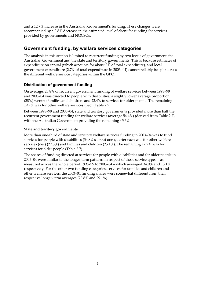and a 12.7% increase in the Australian Government's funding. These changes were accompanied by a 0.8% decrease in the estimated level of client fee funding for services provided by governments and NGCSOs.

### **Government funding, by welfare services categories**

The analysis in this section is limited to recurrent funding by two levels of government: the Australian Government and the state and territory governments. This is because estimates of expenditure on capital (which accounts for about 2% of total expenditure), and local government expenditure (2.7% of total expenditure in 2003–04) cannot reliably be split across the different welfare service categories within the GPC.

### **Distribution of government funding**

On average, 28.8% of recurrent government funding of welfare services between 1998–99 and 2003–04 was directed to people with disabilities; a slightly lower average proportion (28%) went to families and children; and 23.4% to services for older people. The remaining 19.9% was for other welfare services (nec) (Table 2.7).

Between 1998–99 and 2003–04, state and territory governments provided more than half the recurrent government funding for welfare services (average 54.4%) (derived from Table 2.7), with the Australian Government providing the remaining 45.6%.

### **State and territory governments**

More than one-third of state and territory welfare services funding in 2003–04 was to fund services for people with disabilities (34.8%); about one-quarter each was for other welfare services (nec) (27.3%) and families and children (25.1%). The remaining 12.7% was for services for older people (Table 2.7).

The shares of funding directed at services for people with disabilities and for older people in 2003–04 were similar to the longer-term patterns in respect of those service types—as measured across the whole period 1998–99 to 2003–04—which averaged 34.0% and 13.1%, respectively. For the other two funding categories, services for families and children and other welfare services, the 2003–04 funding shares were somewhat different from their respective longer-term averages (23.8% and 29.1%).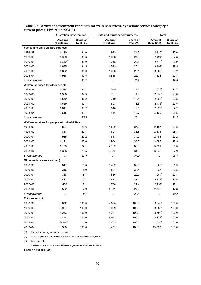|                                               | <b>Australian Government</b>  |                          |                        | State and territory governments |                               | <b>Total</b>             |
|-----------------------------------------------|-------------------------------|--------------------------|------------------------|---------------------------------|-------------------------------|--------------------------|
|                                               | <b>Amount</b><br>(\$ million) | Share of<br>total $(\%)$ | Amount<br>(\$ million) | Share of<br>total $(\%)$        | <b>Amount</b><br>(\$ million) | Share of<br>total $(\%)$ |
| Family and child welfare services             |                               |                          |                        |                                 |                               |                          |
| 1998-99                                       | 1,140                         | 31.0                     | $973$ <sup>r</sup>     | 21.3                            | $2,113$ <sup>r</sup>          | 25.6                     |
| 1999-00                                       | 1,398                         | 35.3                     | $1,096$ <sup>r</sup>   | 21.9                            | $2,494$ <sup>r</sup>          | 27.8                     |
| 2000-01                                       | $1,360^{(c)}$                 | 32.0                     | $1,218$ <sup>r</sup>   | 22.8                            | $2,579$ <sup>r</sup>          | 26.9                     |
| 2001-02                                       | 1,685                         | 34.5                     | $1,513$ <sup>r</sup>   | 25.4                            | $3,199$ <sup>r</sup>          | 29.5                     |
| 2002-03                                       | 1,882                         | 35.0                     | $1,686$ <sup>r</sup>   | 26.1                            | $3,568$ <sup>r</sup>          | 30.2                     |
| 2003-04                                       | 1,938                         | 30.5                     | 1,686                  | 25.1                            | 3,624                         | 27.7                     |
| 6-year average                                | $\sim$ $\sim$                 | 33.1                     | $\sim$ $\sim$          | 23.8                            | $\sim$ $\sim$                 | 28.0                     |
| Welfare services for older people             |                               |                          |                        |                                 |                               |                          |
| 1998-99                                       | 1,324                         | 36.1                     | 549                    | 12.0                            | $1,873$ <sup>r</sup>          | 22.7                     |
| 1999-00                                       | 1,356                         | 34.3                     | 701 <sup>r</sup>       | 14.0                            | $2,058$ <sup>r</sup>          | 23.0                     |
| 2000-01                                       | 1,539                         | 36.2                     | 719 <sup>r</sup>       | 13.5                            | $2,258$ <sup>r</sup>          | 23.5                     |
| 2001-02                                       | 1,629                         | 33.4                     | 808 <sup>r</sup>       | 13.6                            | $2,436$ <sup>r</sup>          | 22.5                     |
| 2002-03                                       | 1,811                         | 33.7                     | 816 <sup>r</sup>       | 12.6                            | $2,627$ <sup>r</sup>          | 22.2                     |
| 2003-04                                       | 2,615                         | 41.1                     | 854                    | 12.7                            | 3,469                         | 26.5                     |
| 6-year average                                |                               | 35.8                     | $\sim$ $\sim$          | 13.1                            | $\sim$                        | 23.4                     |
| Welfare services for people with disabilities |                               |                          |                        |                                 |                               |                          |
| 1998-99                                       | 867                           | 23.6                     | $1,590^r$              | 34.8                            | 2,457                         | 29.8                     |
| 1999-00                                       | 887                           | 22.4                     | $1,691$ <sup>r</sup>   | 33.8                            | 2,578                         | 28.8                     |
| 2000-01                                       | 985                           | 23.2                     | $1,813$ <sup>r</sup>   | 34.0                            | 2,798                         | 29.2                     |
| 2001-02                                       | 1,121                         | 23.0                     | $1,964^r$              | 33.0                            | 3,085                         | 28.5                     |
| 2002-03                                       | 1,189                         | 22.1                     | $2,192$ <sup>r</sup>   | 33.9                            | 3,381                         | 28.6                     |
| 2003-04                                       | 1,306                         | 20.5                     | 2,336                  | 34.8                            | 3,642                         | 27.9                     |
| 6-year average                                | $\sim$ $\sim$                 | 22.5                     | $\sim$ $\sim$          | 34.0                            | $\sim$ $\sim$                 | 28.8                     |
| Other welfare services (nec)                  |                               |                          |                        |                                 |                               |                          |
| 1998-99                                       | 341                           | 9.3                      | $1,462$ <sup>r</sup>   | 32.0                            | $1,803^r$                     | 21.9                     |
| 1999-00                                       | 316                           | 8.0                      | $1,521$ <sup>r</sup>   | 30.4                            | $1,837$ <sup>r</sup>          | 20.5                     |
| 2000-01                                       | 368                           | 8.7                      | $1,586$ <sup>r</sup>   | 29.7                            | $1,954$ <sup>r</sup>          | 20.4                     |
| $2001 - 02$                                   | 443                           | 9.1                      | $1,673$ <sup>r</sup>   | 28.1                            | $2,116$ <sup>r</sup>          | 19.5                     |
| 2002-03                                       | $488^{\rm r}$                 | 9.1                      | $1,768^r$              | 27.4                            | $2,257^\mathrm{r}$            | 19.1                     |
| 2003-04                                       | 502                           | 7.9                      | 1,831                  | 27.3                            | 2,332                         | 17.8                     |
| 6-year average                                | $\sim$                        | 8.7                      | $\sim$ $\sim$          | 29.1                            | k,                            | 19.9                     |
| <b>Total recurrent</b>                        |                               |                          |                        |                                 |                               |                          |
| 1998-99                                       | 3,672                         | 100.0                    | $4,575$ <sup>r</sup>   | 100.0                           | $8,246$ <sup>r</sup>          | 100.0                    |
| 1999-00                                       | 3,957                         | 100.0                    | $5,009^{r}$            | 100.0                           | $8,966$ <sup>r</sup>          | 100.0                    |
| 2000-01                                       | 4,253                         | 100.0                    | $5,337$ <sup>r</sup>   | 100.0                           | $9,590^r$                     | 100.0                    |
| 2001-02                                       | 4,878                         | 100.0                    | $5,958$ <sup>r</sup>   | 100.0                           | 10,836                        | 100.0                    |
| 2002-03                                       | $5,370$ <sup>r</sup>          | 100.0                    | $6,463$ <sup>r</sup>   | 100.0                           | 11,833                        | 100.0                    |
| 2003-04                                       | 6,360                         | 100.0                    | 6,707                  | 100.0                           | 13,067                        | 100.0                    |

Table 2.7: Recurrent government funding<sup>(a)</sup> for welfare services, by welfare services category,<sup>(b)</sup> **current prices, 1998–99 to 2003–04** 

(a) Excludes funding for capital purposes.

(b) See Chapter 6 for definition of the four welfare services categories.

(c) See Box 2.1.

r Revised since publication of *Welfare expenditure Australia 2002–03.* 

*Sources:* As for Table 2.5.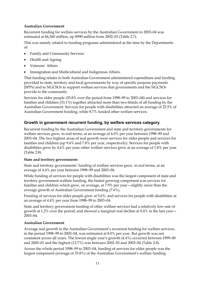#### **Australian Government**

Recurrent funding for welfare services by the Australian Government in 2003–04 was estimated at \$6,360 million, up \$990 million from 2002–03 (Table 2.7).

This was mainly related to funding programs administered at the time by the Departments of:

- Family and Community Services
- Health and Ageing
- Veterans' Affairs
- Immigration and Multicultural and Indigenous Affairs.

That funding relates to both Australian Government administered expenditure and funding provided to state, territory and local governments by way of specific purpose payments (SPPs) and to NGCSOs to support welfare services that governments and the NGCSOs provide to the community.

Services for older people (35.8% over the period from 1998–99 to 2003–04) and services for families and children (33.1%) together attracted more than two-thirds of all funding by the Australian Government. Services for people with disabilities attracted an average of 22.5% of Australian Government funding, while 8.7% funded other welfare services.

### **Growth in government recurrent funding, by welfare services category**

Recurrent funding by the Australian Government and state and territory governments for welfare services grew, in real terms, at an average of 6.0% per year between 1998–99 and 2003–04. The two highest areas of real growth were services for older people and services for families and children (up 9.4% and 7.8% per year, respectively). Services for people with disabilities grew by 4.6% per year; other welfare services grew at an average of 1.8% per year (Table 2.8).

#### **State and territory governments**

State and territory governments' funding of welfare services grew, in real terms, at an average of 4.4% per year between 1998–99 and 2003–04.

While funding of services for people with disabilities was the largest component of state and territory government welfare funding, the fastest growing component was services for families and children which grew, on average, at 7.9% per year—slightly more than the average growth of Australian Government funding (7.6%).

Funding of services for older people grew at 5.6%; and services for people with disabilities at an average of 4.4% per year from 1998–99 to 2003–04.

State and territory government funding of other welfare services had a relatively low rate of growth at 1.2% over the period, and showed a marginal real decline at 0.4% in the last year— 2003–04.

#### **Australian Government**

Average real growth in the Australian Government's recurrent funding for welfare services, in the period 1998–99 to 2003–04, was estimated at 8.0% per year. But growth was not consistent across all years. The lowest single year's growth (4.4%) occurred between 1999–00 and 2000–01 and the highest (12.7%) was between 2002–03 and 2003–04 (Table 2.8).

Across the whole period 1998–99 to 2003–04, funding of services for older people was the largest component (average of 35.8%) of the Australian Government's welfare funding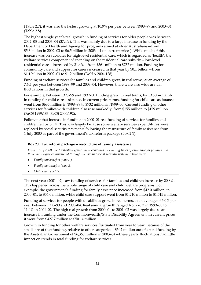(Table 2.7); it was also the fastest growing at 10.9% per year between 1998–99 and 2003–04 (Table 2.8).

The highest single year's real growth in funding of services for older people was between 2002–03 and 2003–04 (37.4%). This was mainly due to a large increase in funding by the Department of Health and Ageing for programs aimed at older Australians—from \$5.6 billion in 2002–03 to \$6.5 billion in 2003–04 (in current prices). While much of this increase was on subsidies for high-level residential care, which is regarded as 'health', the welfare services component of spending on the residential care subsidy—low-level residential care—increased by 31.4%—from \$561 million to \$737 million. Funding for community care and support for carers increased in that year by \$0.1 billion—from \$1.1 billion in 2002–03 to \$1.2 billion (DoHA 2004:128).

Funding of welfare services for families and children grew, in real terms, at an average of 7.6% per year between 1998–99 and 2003–04. However, there were also wide annual fluctuations in that growth.

For example, between 1998–99 and 1999–00 funding grew, in real terms, by 19.6%—mainly in funding for child care assistance. In current price terms, funding for child care assistance went from \$635 million in 1998–99 to \$732 million in 1999–00. Current funding of other services for families with children also rose markedly, from \$155 million to \$179 million (FaCS 1999:183; FaCS 2000:192).

Following that increase in funding, in 2000–01 real funding of services for families and children fell by 5.5%. This was largely because some welfare services expenditures were replaced by social security payments following the restructure of family assistance from 1 July 2000 as part of the government's tax reform package (Box 2.1).

#### **Box 2.1: Tax reform package—restructure of family assistance**

*From 1 July 2000, the Australian government combined 12 existing types of assistance for families into three main types administered through the tax and social security systems. These were:* 

- *Family tax benefits (part A)*
- *Family tax benefits (part B)*
- *Child care benefits.*

The next year (2001–02) saw funding of services for families and children increase by 20.8%. This happened across the whole range of child care and child welfare programs. For example, the government's funding for family assistance increased from \$42.0 million, in 2000–01, to \$54.0 million, while child care support went from \$1,210 million to \$1,515 million.

Funding of services for people with disabilities grew, in real terms, at an average of 5.0% per year between 1998–99 and 2003–04. Real annual growth ranged from –0.3 in 1999–00 to 11.0% in 2001–02. The high real growth from 2000–01 to 2001–02 was largely due to an increase in funding under the Commonwealth/State Disability Agreement. In current prices it went from \$427.7 million to \$501.4 million.

Growth in funding for other welfare services fluctuated from year to year. Because of the small size of that funding, relative to other categories—\$502 million out of a total funding by the Australian Government of \$6,360 million in 2003–04—these yearly fluctuations had little impact on trends in total funding for welfare services.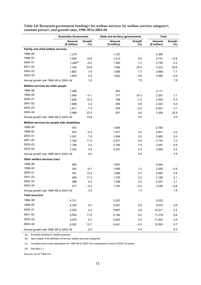|                                               | <b>Australian Government</b> |               | State and territory governments |               | <b>Total</b>           |                  |
|-----------------------------------------------|------------------------------|---------------|---------------------------------|---------------|------------------------|------------------|
|                                               | Amount<br>(\$ million)       | Growth<br>(%) | Amount<br>(\$ million)          | Growth<br>(%) | Amount<br>(\$ million) | Growth<br>$(\%)$ |
| Family and child welfare services             |                              |               |                                 |               |                        |                  |
| 1998-99                                       | 1,279                        | $\sim$        | 1,107                           | $\sim$        | 2,386                  |                  |
| 1999-00                                       | 1,529                        | 19.6          | 1,212                           | 9.5           | 2,741                  | 14.9             |
| 2000-01                                       | $1,446^{(d)}$                | $-5.5$        | 1,300                           | 7.3           | 2,746                  | 0.2              |
| 2001-02                                       | 1,746                        | 20.8          | 1,565                           | 20.4          | 3,312                  | 20.6             |
| 2002-03                                       | 1,882                        | 7.8           | 1,686                           | 7.7           | 3,568                  | 7.7              |
| 2003-04                                       | 1,844                        | 2.0           | 1,622                           | $-3.8$        | 3,466                  | $-2.9$           |
| Annual growth rate 1998-99 to 2003-04         |                              | 7.6           |                                 | 7.9           |                        | 7.8              |
| Welfare services for older people             |                              |               |                                 |               |                        |                  |
| 1998-99                                       | 1,486                        | $\sim$        | 625                             | $\sim$        | 2,111                  | $\sim$ $\sim$    |
| 1999-00                                       | 1,484                        | $-0.1$        | 777                             | 24.3          | 2,261                  | 7.1              |
| 2000-01                                       | 1,636                        | 10.2          | 768                             | $-1.2$        | 2,404                  | 6.3              |
| 2001-02                                       | 1,688                        | 3.2           | 835                             | 8.8           | 2,523                  | 5.0              |
| 2002-03                                       | 1,811                        | 7.3           | 816                             | $-2.3$        | 2,627                  | 4.1              |
| 2003-04                                       | 2,488                        | 37.4          | 821                             | 0.6           | 3,309                  | 25.9             |
| Annual growth rate 1998-99 to 2003-04         |                              | 10.9          |                                 | 5.6           |                        | 9.4              |
| Welfare services for people with disabilities |                              |               |                                 |               |                        |                  |
| 1998-99                                       | 973                          | $\sim$        | 1,808                           | $\sim$ $\sim$ | 2,782                  | $\sim$ $\sim$    |
| 1999-00                                       | 970                          | $-0.3$        | 1,871                           | 3.5           | 2,841                  | 2.2              |
| 2000-01                                       | 1,047                        | 7.9           | 1,936                           | 3.5           | 2,983                  | 5.0              |
| 2001-02                                       | 1,162                        | 11.0          | 2,031                           | 4.9           | 3,193                  | 7.0              |
| 2002-03                                       | 1,189                        | 2.3           | 2,192                           | 7.9           | 3,381                  | 5.9              |
| 2003-04                                       | 1,243                        | 4.5           | 2,247                           | 2.5           | 3,490                  | 3.2              |
| Annual growth rate 1998-99 to 2003-04         |                              | $5.0\,$       |                                 | 4.4           |                        | 4.6              |
| Other welfare services (nec)                  |                              |               |                                 |               |                        |                  |
| 1998-99                                       | 383                          | $\sim$        | 1,661                           | $\sim$        | 2,044                  |                  |
| 1999-00                                       | 345                          | $-9.7$        | 1,680                           | 1.2           | 2,026                  | $-0.9$           |
| 2000-01                                       | 391                          | 13.2          | 1,692                           | 0.7           | 2,083                  | 2.8              |
| 2001-02                                       | 459                          | 17.3          | 1,730                           | 2.2           | 2,189                  | 5.1              |
| 2002-03                                       | 488                          | 6.4           | 1,768                           | 2.2           | 2,257                  | 3.1              |
| 2003-04                                       | 477                          | $-2.3$        | 1,761                           | $-0.4$        | 2,238                  | $-0.8$           |
| Annual growth rate 1998-99 to 2003-04         |                              | 4.5           |                                 | 1.2           |                        | 1.8              |
| <b>Total recurrent</b>                        |                              |               |                                 |               |                        |                  |
| 1998-99                                       | 4,121                        | $\sim$        | 5,201                           | $\sim$        | 9,322                  | $\sim$           |
| 1999-00                                       | 4,329                        | 5.0           | 5,541                           | 6.5           | 9,570                  | 5.9              |
| 2000-01                                       | 4,520                        | 4.4           | 5,697                           | 2.8           | 10,217                 | 3.5              |
| 2001-02                                       | 5,055                        | 11.8          | 6,162                           | 6.2           | 11,218                 | 9.8              |
| 2002-03                                       | 5,370                        | 6.2           | 6,463                           | 4.9           | 11,833                 | 5.5              |
| 2003-04                                       | 6,052                        | 12.7          | 6,451                           | $-0.2$        | 12,503                 | 5.7              |
| Annual growth rate 1998-99 to 2003-04         |                              | $8.0\,$       |                                 | 4.4           |                        | 6.0              |

**Table 2.8: Recurrent government funding(a) for welfare services, by welfare services category(b), constant prices(c), and growth rates, 1998–99 to 2003–04** 

(a) Excludes funding for capital purposes.

(b) See Chapter 6 for definition of the four welfare services categories.

(c) Constant price social expenditure for 1998–99 to 2003–04 is expressed in terms of 2002–03 prices.

(d) See Box 2.1.

*Sources:* As for Table 2.5.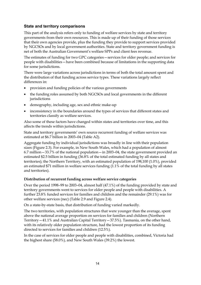#### **State and territory comparisons**

This part of the analysis refers only to funding of welfare services by state and territory governments from their own resources. This is made up of their funding of those services that their own agencies provide, plus the funding they provide to support services provided by NGCSOs and by local government authorities. State and territory government funding is net of both the Australian Government's welfare SPPs and client fees revenue.

The estimates of funding for two GPC categories—services for older people; and services for people with disabilities—have been combined because of limitations in the supporting data for some jurisdictions.

There were large variations across jurisdictions in terms of both the total amount spent and the distribution of that funding across service types. These variations largely reflect differences in:

- provision and funding policies of the various governments
- the funding roles assumed by both NGCSOs and local governments in the different jurisdictions
- demography, including age, sex and ethnic make-up
- inconsistency in the boundaries around the types of services that different states and territories classify as welfare services.

Also some of these factors have changed within states and territories over time, and this affects the trends within jurisdictions.

State and territory governments' own source recurrent funding of welfare services was estimated at \$6.7 billion in 2003–04 (Table A2).

Aggregate funding by individual jurisdictions was broadly in line with their population sizes (Figure 2.3). For example, in New South Wales, which had a population of almost 6.7 million—33.7% of the national population—in 2003–04, the state government provided an estimated \$2.5 billion in funding (36.8% of the total estimated funding by all states and territories); the Northern Territory, with an estimated population of 198,100 (1.0%), provided an estimated \$71 million in welfare services funding (1.1% of the total funding by all states and territories).

#### **Distribution of recurrent funding across welfare service categories**

Over the period 1998–99 to 2003–04, almost half (47.1%) of the funding provided by state and territory governments went to services for older people and people with disabilities. A further 23.8% funded services for families and children and the remainder (29.1%) was for other welfare services (nec) (Table 2.9 and Figure 2.4).

On a state-by-state basis, that distribution of funding varied markedly.

The two territories, with population structures that were younger than the average, spent above the national average proportion on services for families and children (Northern Territory—41.1% and Australian Capital Territory—37.5%). Tasmania, on the other hand, with its relatively older population structure, had the lowest proportion of its funding directed to services for families and children (12.5%).

In the case of services for older people and people with disabilities, combined, Victoria had the highest share (58.0%), and New South Wales (39.2%) the lowest.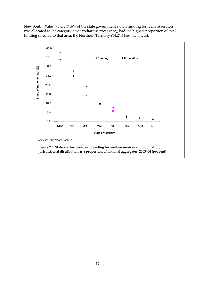New South Wales, where 37.6% of the state government's own funding for welfare services was allocated to the category other welfare services (nec), had the highest proportion of total funding directed to that area; the Northern Territory (14.2%) had the lowest.

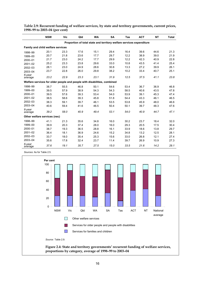|                                                                          | <b>NSW</b>                        | Vic  | Qld  | <b>WA</b> | SA   | <b>Tas</b> | <b>ACT</b> | <b>NT</b> | <b>Total</b> |  |
|--------------------------------------------------------------------------|-----------------------------------|------|------|-----------|------|------------|------------|-----------|--------------|--|
| Proportion of total state and territory welfare services expenditure     |                                   |      |      |           |      |            |            |           |              |  |
|                                                                          | Family and child welfare services |      |      |           |      |            |            |           |              |  |
| 1998-99                                                                  | 20.1                              | 23.3 | 17.6 | 15.1      | 29.4 | 16.4       | 39.6       | 44.6      | 21.3         |  |
| 1999-00                                                                  | 20.7                              | 21.8 | 23.6 | 17.7      | 29.7 | 12.2       | 38.9       | 39.0      | 21.9         |  |
| 2000-01                                                                  | 21.7                              | 23.0 | 24.2 | 17.7      | 29.9 | 12.2       | 42.3       | 40.9      | 22.8         |  |
| 2001-02                                                                  | 25.2                              | 23.3 | 23.8 | 29.6      | 33.0 | 10.8       | 43.5       | 41.4      | 25.4         |  |
| 2002-03                                                                  | 28.1                              | 23.0 | 24.9 | 28.6      | 30.8 | 13.3       | 27.2       | 39.9      | 26.1         |  |
| 2003-04                                                                  | 23.7                              | 22.8 | 26.0 | 29.8      | 38.2 | 10.2       | 33.4       | 40.7      | 25.1         |  |
| 6-year<br>average                                                        | 23.2                              | 22.9 | 23.3 | 23.1      | 31.9 | 12.5       | 37.5       | 41.1      | 23.8         |  |
| Welfare services for older people and people with disabilities, combined |                                   |      |      |           |      |            |            |           |              |  |
| 1998-99                                                                  | 38.7                              | 55.5 | 46.8 | 50.1      | 54.6 | 53.4       | 36.7       | 36.9      | 46.8         |  |
| 1999-00                                                                  | 39.5                              | 57.9 | 38.9 | 54.3      | 54.3 | 58.5       | 40.6       | 43.5      | 47.8         |  |
| 2000-01                                                                  | 39.5                              | 57.6 | 39.3 | 53.4      | 54.0 | 53.9       | 39.1       | 45.3      | 47.4         |  |
| 2001-02                                                                  | 38.5                              | 58.6 | 39.3 | 45.8      | 51.8 | 54.4       | 43.3       | 46.1      | 46.5         |  |
| 2002-03                                                                  | 38.3                              | 59.1 | 39.7 | 46.1      | 53.5 | 53.8       | 45.9       | 48.0      | 46.6         |  |
| 2003-04                                                                  | 40.6                              | 59.4 | 41.6 | 46.5      | 50.4 | 50.1       | 39.7       | 48.3      | 47.6         |  |
| 6-year<br>average                                                        | 39.2                              | 58.0 | 40.9 | 49.4      | 53.1 | 54.0       | 40.9       | 44.7      | 47.1         |  |
|                                                                          | Other welfare services (nec)      |      |      |           |      |            |            |           |              |  |
| 1998-99                                                                  | 41.1                              | 21.3 | 35.6 | 34.8      | 16.0 | 30.2       | 23.7       | 18.4      | 32.0         |  |
| 1999-00                                                                  | 39.9                              | 20.3 | 37.4 | 28.0      | 16.0 | 29.3       | 20.5       | 17.5      | 30.4         |  |
| 2000-01                                                                  | 38.7                              | 19.3 | 36.5 | 28.8      | 16.1 | 33.9       | 18.6       | 13.8      | 29.7         |  |
| $2001 - 02$                                                              | 36.4                              | 18.1 | 36.9 | 24.6      | 15.2 | 34.8       | 13.2       | 12.5      | 28.1         |  |
| 2002-03                                                                  | 33.7                              | 18.0 | 35.4 | 25.3      | 15.6 | 33.0       | 26.8       | 12.1      | 27.4         |  |
| 2003-04                                                                  | 35.6                              | 17.8 | 32.4 | 23.7      | 11.4 | 39.7       | 26.9       | 10.9      | 27.3         |  |
| 6-year<br>average                                                        | 37.6                              | 19.1 | 35.7 | 27.5      | 15.0 | 33.5       | 21.6       | 14.2      | 29.1         |  |

**Table 2.9: Recurrent funding of welfare services, by state and territory governments, current prices, 1998–99 to 2003–04 (per cent)** 

*Sources:* As for Table 2.5.



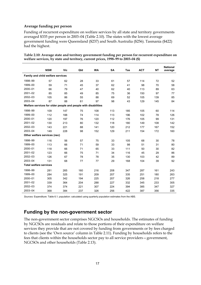#### **Average funding per person**

Funding of recurrent expenditure on welfare services by all state and territory governments averaged \$335 per person in 2003–04 (Table 2.10). The states with the lowest average government funding were Queensland (\$237) and South Australia (\$256). Tasmania (\$422) had the highest.

|                                                                | <b>NSW</b>                        | <b>Vic</b> | Qld | <b>WA</b> | <b>SA</b> | <b>Tas</b> | <b>ACT</b> | <b>NT</b> | <b>National</b><br>average |
|----------------------------------------------------------------|-----------------------------------|------------|-----|-----------|-----------|------------|------------|-----------|----------------------------|
|                                                                | Family and child welfare services |            |     |           |           |            |            |           |                            |
| 1998-99                                                        | 57                                | 62         | 28  | 33        | 61        | 57         | 114        | 72        | 52                         |
| 1999-00                                                        | 59                                | 71         | 45  | 37        | 62        | 41         | 98         | 70        | 58                         |
| 2000-01                                                        | 66                                | 79         | 47  | 40        | 62        | 40         | 113        | 89        | 63                         |
| $2001 - 02$                                                    | 85                                | 85         | 49  | 85        | 75        | 36         | 150        | 97        | 77                         |
| 2002-03                                                        | 105                               | 86         | 55  | 88        | 69        | 52         | 105        | 139       | 85                         |
| 2003-04                                                        | 87                                | 88         | 61  | 97        | 98        | 43         | 129        | 145       | 84                         |
| Welfare services for older people and people with disabilities |                                   |            |     |           |           |            |            |           |                            |
| 1998-99                                                        | 109                               | 147        | 75  | 108       | 113       | 185        | 105        | 60        | 114                        |
| 1999-00                                                        | 112                               | 188        | 74  | 114       | 113       | 196        | 102        | 78        | 126                        |
| 2000-01                                                        | 120                               | 197        | 76  | 120       | 112       | 176        | 105        | 99        | 131                        |
| $2001 - 02$                                                    | 130                               | 213        | 80  | 132       | 118       | 180        | 149        | 108       | 142                        |
| 2002-03                                                        | 143                               | 221        | 88  | 141       | 120       | 212        | 177        | 167       | 152                        |
| 2003-04                                                        | 149                               | 228        | 98  | 152       | 129       | 211        | 154        | 172       | 160                        |
|                                                                | Other welfare services (nec)      |            |     |           |           |            |            |           |                            |
| 1998-99                                                        | 116                               | 56         | 57  | 75        | 33        | 105        | 68         | 30        | 78                         |
| 1999-00                                                        | 113                               | 66         | 71  | 59        | 33        | 98         | 51         | 31        | 80                         |
| 2000-01                                                        | 118                               | 66         | 71  | 65        | 33        | 111        | 50         | 30        | 82                         |
| 2001-02                                                        | 123                               | 66         | 75  | 71        | 34        | 116        | 45         | 29        | 86                         |
| 2002-03                                                        | 126                               | 67         | 78  | 78        | 35        | 130        | 103        | 42        | 89                         |
| 2003-04                                                        | 131                               | 68         | 77  | 77        | 29        | 168        | 104        | 39        | 92                         |
| <b>Total welfare services</b>                                  |                                   |            |     |           |           |            |            |           |                            |
| 1998-99                                                        | 281                               | 265        | 160 | 216       | 208       | 347        | 287        | 161       | 243                        |
| 1999-00                                                        | 284                               | 325        | 191 | 209       | 207       | 335        | 251        | 180       | 263                        |
| 2000-01                                                        | 305                               | 342        | 194 | 225       | 207       | 326        | 258        | 218       | 277                        |
| $2001 - 02$                                                    | 339                               | 364        | 204 | 288       | 227       | 332        | 345        | 233       | 305                        |
| 2002-03                                                        | 374                               | 374        | 221 | 307       | 224       | 394        | 385        | 347       | 327                        |
| 2003-04                                                        | 368                               | 384        | 237 | 326       | 256       | 422        | 387        | 356       | 335                        |

| Table 2.10: Average state and territory government funding per person for recurrent expenditure on |
|----------------------------------------------------------------------------------------------------|
| welfare services, by state and territory, current prices, $1998-99$ to $2003-04$ (\$)              |

*Sources:* Expenditure: Table 6.1; population: calculated using quarterly population estimates from the ABS.

### **Funding by the non-government sector**

The non-government sector comprises NGCSOs and households. The estimates of funding by NGCSOs are residuals and relate to those portions of their expenditure on welfare services they provide that are not covered by funding from governments or by fees charged to clients (see the 'Own source' column in Table 2.11). Funding by households refers to the fees that clients within the households sector pay to all service providers—government, NGCSOs and other households (Table 2.13).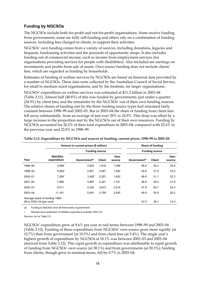### **Funding by NGCSOs**

The NGCSOs include both for-profit and not-for-profit organisations. Some receive funding from governments, some are fully self-funding and others rely on a combination of funding sources, including fees charged to clients, to support their activities.

NGCSOs' own funding comes from a variety of sources, including donations, legacies and bequests, fundraising activities and the proceeds of opportunity shops. It also includes funding out of commercial income, such as income from employment services (for organisations providing services for people with disabilities). Also included are earnings on investments and profits from sale of assets. Own source funding does not include clients' fees, which are regarded as funding by households.

Estimates of funding of welfare services by NGCSOs are based on financial data provided by a number of NGCSOs. These data were collected by the Australian Council of Social Service, for small to medium sized organisations, and by the Institute, for larger organisations.

NGCSOs' expenditure on welfare services was estimated at \$11.2 billion in 2003–04 (Table 2.11). Almost half (48.8%) of this was funded by governments; just under a quarter (24.9%) by client fees; and the remainder by the NGCSOs' out of their own funding sources. The relative shares of funding met by the three funding source types had remained fairly constant between 1998–99 and 2002–03. But in 2003–04 the share of funding from client fees fell away substantially, from an average of just over 29% to 24.9%. This drop was offset by a large increase in the proportion met by the NGCSOs out of their own resources. Funding by NGCSOs accounted for 26.2% of their total expenditure in 2003–04, compared with 22.4% in the previous year and 22.8% in 1998–99.

|                                                            | Amount in current prices (\$ million) |                           |               |               | Share of funding          |                       |               |  |
|------------------------------------------------------------|---------------------------------------|---------------------------|---------------|---------------|---------------------------|-----------------------|---------------|--|
|                                                            |                                       | <b>Funding source</b>     |               |               |                           | <b>Funding source</b> |               |  |
| Year                                                       | <b>NGCSOs'</b><br>expenditure         | Government <sup>(a)</sup> | <b>Client</b> | Own<br>source | Government <sup>(a)</sup> | <b>Client</b>         | Own<br>source |  |
| 1998-99                                                    | $5,989$ <sup>r</sup>                  | 2,805                     | 1,816         | 1,368         | 46.8                      | 30.3                  | 22.8          |  |
| 1999-00                                                    | $6,582$ <sup>r</sup>                  | 2,951                     | 2,081         | 1,550         | 44.8                      | 31.6                  | 23.5          |  |
| 2000-01                                                    | $7,260^r$                             | $3,383$ <sup>r</sup>      | 2,257         | 1,620         | 46.6                      | 31.1                  | 22.3          |  |
| $2001 - 02$                                                | 7,969                                 | 3,887                     | 2,341         | 1,741         | 48.8                      | 29.4                  | 21.8          |  |
| 2002-03                                                    | 9,011                                 | 4,320                     | 2,672         | 2,019         | 47.9                      | 29.7                  | 22.4          |  |
| 2003-04                                                    | 11,181                                | 5,461                     | 2,790         | 2,930         | 48.8                      | 24.9                  | 26.2          |  |
| Average share of funding 1998-<br>99 to 2003-04 (per cent) |                                       |                           |               |               | 47.5                      | 29.1                  | 23.4          |  |

#### **Table 2.11: Expenditure by NGCSOs and sources of funding, current prices, 1998–99 to 2003–04**

(a) Funding to NGCSOs from all three levels of government.

r Revised since publication of *Welfare expenditure Australia 2002–03.* 

*Sources:* As for Table 2.5.

NGCSOs' expenditure grew at 9.6% per year in real terms between 1998–99 and 2003–04 (Table 2.12). Funding of these expenditure from NGCSOs' own source grew more rapidly (at 12.7%) than from government (at 10.5%) and from client fees (at 5.4%). The single year's highest growth of expenditure by NGCSOs at 18.1% was between 2002–03 and 2003–04 (derived from Table 2.12). This rapid growth in expenditure was attributable to rapid growth of funding from NGCSOs' own source (at 38.1%) and from governments (at 20.3%); funding from clients, though grew in nominal terms, fell by 0.7% in 2003–04.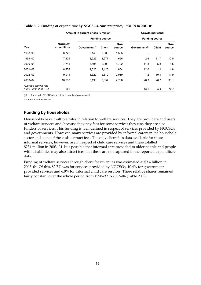|                                           |                               | Amount in current prices (\$ million) |                       |               |                           | Growth (per cent)     |               |  |
|-------------------------------------------|-------------------------------|---------------------------------------|-----------------------|---------------|---------------------------|-----------------------|---------------|--|
|                                           |                               |                                       | <b>Funding source</b> |               |                           | <b>Funding source</b> |               |  |
| Year                                      | <b>NGCSOs'</b><br>expenditure | Government <sup>(a)</sup>             | <b>Client</b>         | Own<br>source | Government <sup>(a)</sup> | <b>Client</b>         | Own<br>source |  |
| 1998-99                                   | 6,722                         | 3,148                                 | 2,038                 | 1,535         | $\sim$ $\sim$             | $\sim$ $\sim$         | $\sim$ $\sim$ |  |
| 1999-00                                   | 7,201                         | 3,229                                 | 2,277                 | 1,696         | 2.6                       | 11.7                  | 10.5          |  |
| 2000-01                                   | 7,715                         | 3,595                                 | 2,399                 | 1,722         | 11.3                      | 5.3                   | 1.5           |  |
| $2001 - 02$                               | 8,258                         | 4,028                                 | 2,426                 | 1,804         | 12.0                      | 1.1                   | 4.8           |  |
| $2002 - 03$                               | 9,011                         | 4,320                                 | 2,672                 | 2,019         | 7.2                       | 10.1                  | 11.9          |  |
| 2003-04                                   | 10.638                        | 5,196                                 | 2,654                 | 2,788         | 20.3                      | $-0.7$                | 38.1          |  |
| Average growth rate<br>1998-99 to 2003-04 | 9.6                           |                                       |                       |               | 10.5                      | 5.4                   | 12.7          |  |

**Table 2.12: Funding of expenditure by NGCSOs, constant prices, 1998–99 to 2003–04** 

(a) Funding to NGCSOs from all three levels of government.

*Sources:* As for Table 2.5.

#### **Funding by households**

Households have multiple roles in relation to welfare services. They are providers and users of welfare services and, because they pay fees for some services they use, they are also funders of services. This funding is well defined in respect of services provided by NGCSOs and governments. However, many services are provided by informal carers in the household sector and some of these also attract fees. The only client fees data available for these informal services, however, are in respect of child care services and these totalled \$234 million in 2003–04. It is possible that informal care provided to older people and people with disabilities may also attract fees, but these are not captured in the reported expenditure data.

Funding of welfare services through client fee revenues was estimated at \$3.4 billion in 2003–04. Of this, 82.7% was for services provided by NGCSOs, 10.4% for government provided services and 6.9% for informal child care services. These relative shares remained fairly constant over the whole period from 1998–99 to 2003–04 (Table 2.13).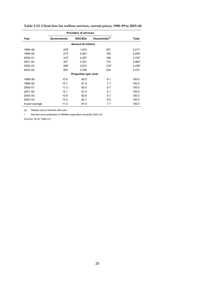|                |                     | <b>Providers of services</b> |                           |                      |  |  |  |  |  |  |
|----------------|---------------------|------------------------------|---------------------------|----------------------|--|--|--|--|--|--|
| Year           | Governments         | <b>NGCSOs</b>                | Households <sup>(a)</sup> | Total                |  |  |  |  |  |  |
|                | Amount (\$ million) |                              |                           |                      |  |  |  |  |  |  |
| 1998-99        | 249 <sup>r</sup>    | 1,816                        | 207                       | $2,271$ <sup>r</sup> |  |  |  |  |  |  |
| 1999-00        | 273 <sup>r</sup>    | 2,081                        | 195                       | $2.549$ <sup>r</sup> |  |  |  |  |  |  |
| 2000-01        | 310 <sup>5</sup>    | 2,257                        | 184                       | $2,752$ <sup>r</sup> |  |  |  |  |  |  |
| $2001 - 02$    | 347 <sup>r</sup>    | 2,341                        | 174                       | $2,862$ <sup>r</sup> |  |  |  |  |  |  |
| $2002 - 03$    | 348 <sup>r</sup>    | 2,672                        | 216 <sup>r</sup>          | 3,236 <sup>r</sup>   |  |  |  |  |  |  |
| 2003-04        | 350                 | 2,790                        | 234                       | 3,373                |  |  |  |  |  |  |
|                |                     | <b>Proportion (per cent)</b> |                           |                      |  |  |  |  |  |  |
| 1998-99        | 10.9                | 80.0                         | 9.1                       | 100.0                |  |  |  |  |  |  |
| 1999-00        | 10.7                | 81.6                         | 7.7                       | 100.0                |  |  |  |  |  |  |
| 2000-01        | 11.3                | 82.0                         | 6.7                       | 100.0                |  |  |  |  |  |  |
| $2001 - 02$    | 12.1                | 81.8                         | 6.1                       | 100.0                |  |  |  |  |  |  |
| 2002-03        | 10.8                | 82.6                         | 6.7                       | 100.0                |  |  |  |  |  |  |
| 2003-04        | 10.4                | 82.7                         | 6.9                       | 100.0                |  |  |  |  |  |  |
| 6-year average | 11.0                | 81.9                         | 7.1                       | 100.0                |  |  |  |  |  |  |

**Table 2.13: Client fees for welfare services, current prices, 1998–99 to 2003–04** 

(a) Relates only to informal child care.

r Revised since publication of *Welfare expenditure Australia 2002–03.* 

*Sources:* As for Table 2.5.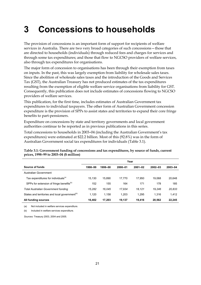# **3 Concessions to households**

The provision of concessions is an important form of support for recipients of welfare services in Australia. There are two very broad categories of such concessions—those that are directed to households (individuals) through reduced fees and charges for services and through some tax expenditures; and those that flow to NGCSO providers of welfare services, also through tax expenditures for organisations.

The major form of concession to organisations has been through their exemption from taxes on inputs. In the past, this was largely exemption from liability for wholesale sales taxes. Since the abolition of wholesale sales taxes and the introduction of the Goods and Services Tax (GST), the Australian Treasury has not produced estimates of the tax expenditures resulting from the exemption of eligible welfare service organisations from liability for GST. Consequently, this publication does not include estimates of concessions flowing to NGCSO providers of welfare services.

This publication, for the first time, includes estimates of Australian Government tax expenditures to individual taxpayers. The other form of Australian Government concession expenditure is the provision of SPPs to assist states and territories to expand their core fringe benefits to part-pensioners.

Expenditure on concessions by state and territory governments and local government authorities continue to be reported as in previous publications in this series.

Total concessions to households in 2003–04 (including the Australian Government's tax expenditures) were estimated at \$22.2 billion. Most of this (92.8%) was in the form of Australian Government social tax expenditures for individuals (Table 3.1).

|                                                            | Year    |         |         |             |         |         |  |  |  |
|------------------------------------------------------------|---------|---------|---------|-------------|---------|---------|--|--|--|
| Source of funds                                            | 1998-99 | 1999-00 | 2000-01 | $2001 - 02$ | 2002-03 | 2003-04 |  |  |  |
| Australian Government                                      |         |         |         |             |         |         |  |  |  |
| Tax expenditures for individuals <sup>(a)</sup>            | 15.130  | 15.890  | 17.770  | 17.950      | 19.068  | 20,648  |  |  |  |
| SPPs for extension of fringe benefits <sup>(b)</sup>       | 152     | 155     | 164     | 171         | 178     | 185     |  |  |  |
| <b>Total Australian Government funding</b>                 | 15.282  | 16.045  | 17.934  | 18.121      | 19.246  | 20,833  |  |  |  |
| States and territories and local government <sup>(b)</sup> | 1,120   | 1.158   | 1,203   | 1.295       | 1,316   | 1,412   |  |  |  |
| All funding sources                                        | 16,402  | 17,203  | 19.137  | 19,416      | 20,562  | 22,245  |  |  |  |

#### **Table 3.1: Government funding of concessions and tax expenditures, by source of funds, current prices, 1998–99 to 2003–04 (\$ million)**

(a) Not included in welfare services expenditure.

(b) Included in welfare services expenditure.

*Sources:* Treasury 2003, 2004 and 2005.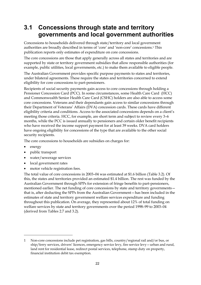### **3.1 Concessions through state and territory governments and local government authorities**

Concessions to households delivered through state/territory and local government authorities are broadly described in terms of 'core' and 'non-core' concessions.1 This publication reports only estimates of expenditure on core concessions.

The core concessions are those that apply generally across all states and territories and are supported by state or territory government subsidies that allow responsible authorities (for example, public utilities, local governments, etc.) to make them available to eligible people.

The Australian Government provides specific purpose payments to states and territories, under bilateral agreements. These require the states and territories concerned to extend eligibility for core concessions to part-pensioners.

Recipients of social security payments gain access to core concessions through holding a Pensioner Concession Card (PCC). In some circumstances, some Health Care Card (HCC) and Commonwealth Senior Health Care Card (CSHC) holders are also able to access some core concessions. Veterans and their dependants gain access to similar concessions through their Department of Veterans' Affairs (DVA) concession cards. These cards have different eligibility criteria and conditions. Access to the associated concessions depends on a client's meeting those criteria. HCC, for example, are short term and subject to review every 3–6 months, while the PCC is issued annually to pensioners and certain older benefit recipients who have received the income support payment for at least 39 weeks. DVA card holders have ongoing eligibility for concessions of the type that are available to the other social security recipients.

The core concessions to households are subsidies on charges for:

energy

 $\overline{a}$ 

- public transport
- water/sewerage services
- local government rates
- motor vehicle registration fees.

The total value of core concessions in 2003–04 was estimated at \$1.6 billion (Table 3.2). Of this, the states and territories provided an estimated \$1.4 billion. The rest was funded by the Australian Government through SPPs for extension of fringe benefits to part-pensioners, mentioned earlier. The net funding of core concessions by state and territory governments that is, after deducting the SPPs from the Australian Government—has been included in the estimates of state and territory government welfare services expenditure and funding throughout this publication. On average, they represented about 12% of total funding on welfare services by state and territory governments over the period 1998–99 to 2003–04 (derived from Tables 2.7 and 3.2).

<sup>1</sup> Non-core concessions include pet registration, gas bills, country/regional rail and/or bus, or ship/ferry services, drivers' licences, emergency service levy, fire service levy—urban and rural, land rent for residential lease, redirect postal services, telephone, stamp duty on property, financial institution debit tax exemption.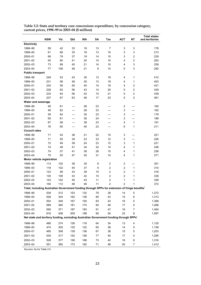|                                                                                                         |            |     |     |     |    |                |                |                | <b>Total states</b> |
|---------------------------------------------------------------------------------------------------------|------------|-----|-----|-----|----|----------------|----------------|----------------|---------------------|
|                                                                                                         | <b>NSW</b> | Vic | Qld | WA  | SΑ | Tas            | <b>ACT</b>     | NΤ             | and territories     |
| Electricity                                                                                             |            |     |     |     |    |                |                |                |                     |
| 1998-99                                                                                                 | 59         | 42  | 33  | 19  | 13 | 7              | 3              | 3              | 178                 |
| 1999-00                                                                                                 | 61         | 69  | 35  | 18  | 13 | 10             | 3              | 3              | 213                 |
| 2000-01                                                                                                 | 66         | 79  | 37  | 19  | 14 | 10             | 3              | $\overline{c}$ | 229                 |
| 2001-02                                                                                                 | 93         | 80  | 41  | 20  | 14 | 10             | 4              | $\overline{c}$ | 263                 |
| 2002-03                                                                                                 | 73         | 89  | 45  | 21  | 14 | 10             | 4              | 3              | 259                 |
| 2003-04                                                                                                 | 77         | 106 | 48  | 21  | 8  | 14             | 5              | 3              | 282                 |
| <b>Public transport</b>                                                                                 |            |     |     |     |    |                |                |                |                     |
| 1998-99                                                                                                 | 249        | 53  | 43  | 30  | 13 | 19             | 4              | 1              | 412                 |
| 1999-00                                                                                                 | 231        | 56  | 48  | 30  | 13 | 19             | 4              | 1              | 403                 |
| 2000-01                                                                                                 | 234        | 59  | 50  | 40  | 14 | 19             | 4              | $\overline{c}$ | 421                 |
| 2001-02                                                                                                 | 228        | 62  | 56  | 43  | 14 | 20             | 5              | $\overline{c}$ | 429                 |
| 2002-03                                                                                                 | 233        | 64  | 56  | 42  | 15 | 21             | $\overline{5}$ | $\overline{c}$ | 439                 |
| 2003-04                                                                                                 | 237        | 67  | 63  | 46  | 17 | 23             | 5              | $\overline{2}$ | 461                 |
| Water and sewerage                                                                                      |            |     |     |     |    |                |                |                |                     |
| 1998-99                                                                                                 | 46         | 61  |     | 28  | 23 |                | $\overline{2}$ |                | 160                 |
| 1999-00                                                                                                 | 46         | 62  |     | 28  | 23 |                | 3              |                | 162                 |
| 2000-01                                                                                                 | 59         | 64  |     | 30  | 23 |                | 3              |                | 179                 |
| 2001-02                                                                                                 | 65         | 61  |     | 36  | 24 |                | 3              |                | 189                 |
| 2002-03                                                                                                 | 67         | 58  |     | 38  | 23 |                | 4              | 1              | 191                 |
| 2003-04                                                                                                 | 76         | 65  |     | 40  | 23 |                | 6              | 1              | 211                 |
| <b>Council rates</b>                                                                                    |            |     |     |     |    |                |                |                |                     |
| 1998-99                                                                                                 | 71         | 54  | 38  | 21  | 22 | 10             | 3              |                | 221                 |
| 1999-00                                                                                                 | 71         | 55  | 39  | 23  | 23 | 12             | 3              |                | 226                 |
| 2000-01                                                                                                 | 72         | 49  | 38  | 24  | 23 | 12             | 3              | 1              | 221                 |
| 2001-02                                                                                                 | 74         | 49  | 41  | 34  | 32 | 14             | 4              | 1              | 248                 |
| 2002-03                                                                                                 | 74         | 57  | 41  | 38  | 28 | 15             | 4              | 1              | 258                 |
| 2003-04                                                                                                 | 75         | 55  | 47  | 45  | 31 | 14             | 4              | 1              | 271                 |
| Motor vehicle registration                                                                              |            |     |     |     |    |                |                |                |                     |
| 1998-99                                                                                                 | 113        | 102 | 38  | 35  | 8  | $\overline{c}$ | 2              |                | 301                 |
| 1999-00                                                                                                 | 118        | 102 | 40  | 37  | 9  | $\overline{c}$ | $\overline{2}$ | 1              | 310                 |
| 2000-01                                                                                                 | 123        | 99  | 43  | 39  | 10 | $\overline{c}$ | 2              | 1              | 318                 |
| 2001-02                                                                                                 | 130        | 108 | 43  | 42  | 10 | $\overline{c}$ | $\overline{c}$ | 1              | 336                 |
| 2002-03                                                                                                 | 143        | 102 | 45  | 43  | 11 | $\overline{c}$ | 1              | 1              | 348                 |
| 2003-04<br>Total, including Australian Government funding through SPPs for extension of fringe benefits | 150        | 112 | 48  | 46  | 11 | $\overline{c}$ | $\overline{2}$ | 1              | 372                 |
|                                                                                                         |            |     |     |     |    |                |                |                |                     |
| 1998-99                                                                                                 | 539        | 312 | 153 | 132 | 79 | 39             | 14             | 5              | 1,272               |
| 1999-00                                                                                                 | 528        | 344 | 162 | 136 | 80 | 43             | 15             | 6              | 1,313               |
| 2000-01                                                                                                 | 554        | 349 | 167 | 150 | 83 | 43             | $16\,$         | $\mathbf 5$    | 1,368               |
| 2001-02                                                                                                 | 589        | 360 | 181 | 174 | 94 | 46             | 17             | 5              | 1,466               |
| 2002-03                                                                                                 | 590        | 371 | 187 | 183 | 91 | 47             | 18             | 7              | 1,494               |
| 2003-04                                                                                                 | 616        | 406 | 205 | 198 | 90 | 54             | 22             | 8              | 1,597               |
| Net state and territory funding, excluding Australian Government funding through SPPs'                  |            |     |     |     |    |                |                |                |                     |
| 1998-99                                                                                                 | 486        | 274 | 126 | 119 | 64 | 34             | 13             | 4              | 1,120               |
| 1999-00                                                                                                 | 474        | 305 | 135 | 122 | 65 | 38             | 14             | 5              | 1,158               |
| 2000-01                                                                                                 | 495        | 308 | 139 | 136 | 67 | 38             | 15             | 5              | 1,203               |
| 2001-02                                                                                                 | 530        | 317 | 152 | 159 | 77 | 40             | 17             | 4              | 1,295               |
| 2002-03                                                                                                 | 528        | 377 | 156 | 168 | 73 | 42             | 16             | 6              | 1,316               |
| 2003-04                                                                                                 | 551        | 360 | 173 | 182 | 71 | 48             | 20             | 7              | 1,412               |

**Table 3.2: State and territory core concessions expenditure, by concession category, current prices, 1998–99 to 2003–04 (\$ million)** 

*Sources:* As for Table 2.5.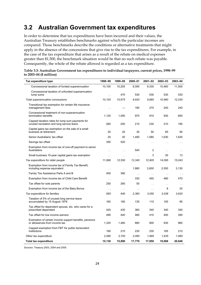### **3.2 Australian Government tax expenditures**

In order to determine that tax expenditures have been incurred and their values, the Australian Treasury establishes benchmarks against which the particular incomes are compared. Those benchmarks describe the conditions or alternative treatments that might apply in the absence of the concessions that give rise to the tax expenditures. For example, in the case of the tax expenditure that arises as a result of the rebate on medical expenses greater than \$1,500, the benchmark situation would be that no such rebate was payable. Consequently, the whole of the rebate allowed is regarded as a tax expenditure.

| Table 3.3: Australian Government tax expenditures to individual taxpayers, current prices, 1998–99 |  |
|----------------------------------------------------------------------------------------------------|--|
| to $2003 - 04$ (\$ million)                                                                        |  |
|                                                                                                    |  |

| Tax expenditure type                                                                        | 1998-99       | 1999-00       | 2000-01       | $2001 - 02$   | 2002-03       | 2003-04       |
|---------------------------------------------------------------------------------------------|---------------|---------------|---------------|---------------|---------------|---------------|
| Concessional taxation of funded superannuation                                              | 10,100        | 10,205        | 9,390         | 9,330         | 10,460        | 11,500        |
| Concessional taxation of unfunded superannuation<br>lump sums                               | $\sim$        | 470           | 530           | 530           | 530           | 530           |
| Total superannuation concessions                                                            | 10,100        | 10,675        | 9,920         | 9,860         | 10,990        | 12,030        |
| Transitional tax exemption for certain life insurance<br>management fees                    | $\sim$        |               | 180           | 270           | 240           | 240           |
| Concessional treatment of non-superannuation<br>termination benefits                        | 1,130         | 1,050         | 970           | 910           | 930           | 850           |
| Capped taxation rates for lump sum payments for<br>unused recreation and long service leave | 260           | 250           | 210           | 230           | 210           | 190           |
| Capital gains tax exemption on the sale of a small<br>business at retirement                | 25            | 25            | 35            | 50            | 65            | 90            |
| Senior Australians' tax offset                                                              | 25            | 30            | 1,490         | 1,580         | 1,630         | 1,630         |
| Savings tax offset                                                                          | 350           | 520           | $\sim$        | $\sim$        | $\sim$        | $\sim$        |
| Exemption from income tax of one-off payment to senior<br>Australians                       | $\ddotsc$     | $\sim$ $\sim$ | 540           | 2             | $\sim$ $\sim$ | $\sim$ $\sim$ |
| Small business 15-year capital gains tax exemption                                          | $\sim$        | $\sim$        | $\sim$ .      | 3             | 30            | 13            |
| Tax expenditure for older people                                                            | 11,890        | 12,550        | 13,345        | 12,905        | 14,095        | 15,043        |
| Exemption from income tax of Family Tax Benefit,<br>including expense equivalent            | $\mathbf{r}$  | $\sim$ $\sim$ | 1,980         | 2,600         | 2,550         | 3,130         |
| Family Tax Assistance Parts A and B                                                         | 400           | 380           | $\sim$ $\sim$ | $\bar{z}$ .   | $\sim$ $\sim$ |               |
| Exemption from income tax of Child Care Benefit                                             | $\sim$        | $\sim$ $\sim$ | 330           | 450           | 480           | 470           |
| Tax offset for sole parents                                                                 | 250           | 260           | 50            | $\sim$ $\sim$ | $\sim$ $\sim$ | $\ddotsc$     |
| Exemption from income tax of the Baby Bonus                                                 | $\sim$ $\sim$ | $\sim$ $\sim$ | $\sim$        | $\sim$ $\sim$ | 8             | 20            |
| Tax expenditure for families                                                                | 650           | 640           | 2,360         | 3,050         | 3.038         | 3,620         |
| Taxation of 5% of unused long service leave<br>accumulated by 15 August 1978                | 160           | 160           | 135           | 115           | 100           | 85            |
| Tax offset for dependent spouse, etc. who cares for a<br>prescribed dependant               | 420           | 430           | 360           | 340           | 340           | 340           |
| Tax offset for low income earners                                                           | 490           | 440           | 460           | 410           | 400           | 390           |
| Exemption of certain income support benefits, pensions<br>or allowances from income tax     | 1,330         | 1,460         | 880           | 900           | 930           | 960           |
| Capped exemption from FBT for public benevolent<br>institutions                             | 190           | 210           | 230           | 230           | 165           | 210           |
| Other tax expenditure                                                                       | 2,590         | 2,700         | 2,065         | 1,995         | 1,935         | 1,985         |
| <b>Total tax expenditure</b>                                                                | 15,130        | 15,890        | 17,770        | 17,950        | 19,068        | 20,648        |

*Sources:* Treasury 2003, 2004 and 2005.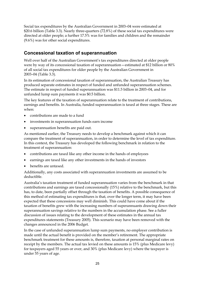Social tax expenditures by the Australian Government in 2003–04 were estimated at \$20.6 billion (Table 3.3). Nearly three-quarters (72.8%) of these social tax expenditures were directed at older people; a further 17.5% was for families and children and the remainder (9.6%) was for other social expenditures.

### **Concessional taxation of superannuation**

Well over half of the Australian Government's tax expenditures directed at older people were by way of its concessional taxation of superannuation—estimated at \$12 billion or 80% of all social tax expenditures for older people by the Australian Government in 2003–04 (Table 3.3).

In its estimation of concessional taxation of superannuation, the Australian Treasury has produced separate estimates in respect of funded and unfunded superannuation schemes. The estimate in respect of funded superannuation was \$11.5 billion in 2003–04, and for unfunded lump sum payments it was \$0.5 billion.

The key features of the taxation of superannuation relate to the treatment of contributions, earnings and benefits. In Australia, funded superannuation is taxed at three stages. These are when:

- contributions are made to a fund
- investments in superannuation funds earn income
- superannuation benefits are paid out.

As mentioned earlier, the Treasury needs to develop a benchmark against which it can compare the treatment of superannuation, in order to determine the level of tax expenditure. In this context, the Treasury has developed the following benchmark in relation to the treatment of superannuation:

- contributions are taxed like any other income in the hands of employees
- earnings are taxed like any other investments in the hands of investors
- benefits are untaxed.

Additionally, any costs associated with superannuation investments are assumed to be deductible.

Australia's taxation treatment of funded superannuation varies from the benchmark in that contributions and earnings are taxed concessionally (15%) relative to the benchmark, but this has, to date, been partially offset through the taxation of benefits. A possible consequence of this method of estimating tax expenditures is that, over the longer term, it may have been expected that these concessions may well diminish. This could have come about if the taxation of benefits grew with the increasing numbers of superannuants drawing down their superannuation savings relative to the numbers in the accumulation phase. See a fuller discussion of issues relating to the development of these estimates in the annual tax expenditures statements (Treasury 2005). This scenario may have been removed with the changes announced in the 2006 Budget.

In the case of unfunded superannuation lump sum payments, no employer contribution is made until the actual benefit is provided on the member's retirement. The appropriate benchmark treatment for these amounts is, therefore, taxation at personal marginal rates on receipt by the members. The actual tax levied on these amounts is 15% (plus Medicare levy) for taxpayers aged 55 years or over, and 30% (plus Medicare levy) where the taxpayer is under 55 years of age.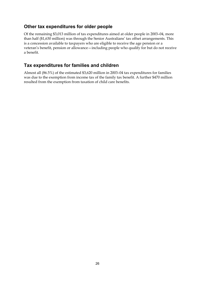### **Other tax expenditures for older people**

Of the remaining \$3,013 million of tax expenditures aimed at older people in 2003–04, more than half (\$1,630 million) was through the Senior Australians' tax offset arrangements. This is a concession available to taxpayers who are eligible to receive the age pension or a veteran's benefit, pension or allowance—including people who qualify for but do not receive a benefit.

### **Tax expenditures for families and children**

Almost all (86.5%) of the estimated \$3,620 million in 2003–04 tax expenditures for families was due to the exemption from income tax of the family tax benefit. A further \$470 million resulted from the exemption from taxation of child care benefits.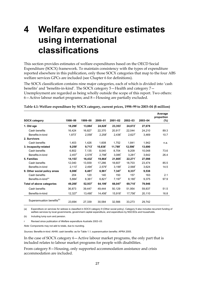# **4 Welfare expenditure estimates using international classifications**

This section provides estimates of welfare expenditures based on the OECD Social Expenditure (SOCX) framework. To maintain consistency with the types of expenditure reported elsewhere in this publication, only those SOCX categories that map to the four ABS welfare services GPCs are included (see Chapter 6 for definitions).

The SOCX classification contains nine major categories, each of which is divided into 'cash benefits' and 'benefits-in-kind'. The SOCX category 5—Health and category 7— Unemployment are regarded as being wholly outside the scope of this report. Two others: 6—Active labour market programs; and 8—Housing are partially excluded.

|                                        |                       |                      |                       |                       |                      |         | Average<br>proportion |
|----------------------------------------|-----------------------|----------------------|-----------------------|-----------------------|----------------------|---------|-----------------------|
| <b>SOCX category</b>                   | 1998-99               | 1999-00              | 2000-01               | $2001 - 02$           | $2002 - 03$          | 2003-04 | $(\% )$               |
| 1. Old age                             | $18,298$ <sup>r</sup> | 13,884               | 24,628                | 23,353                | 24,672               | 27,678  |                       |
| Cash benefits                          | 16,424                | 16,827               | 22,370                | 20.917                | 22.044               | 24.210  | 89.3                  |
| Benefits-in-kind                       | $1,873$ <sup>r</sup>  | $2,058$ <sup>r</sup> | $2,258$ <sup>r</sup>  | $2,436$ <sup>r</sup>  | $2,627$ <sup>r</sup> | 3,469   | 10.7                  |
| 2. Survivors                           |                       |                      |                       |                       |                      |         |                       |
| Cash benefits                          | 1.403                 | 1,426                | 1.608                 | 1.752                 | 1.841                | 1.942   | n.a.                  |
| 3. Incapacity-related                  | 9,259                 | $9.713$ <sup>r</sup> | $10.838$ <sup>r</sup> | 11.789                | 12.590'              | 13.690  |                       |
| Cash benefits                          | 6,802                 | 7,135                | 8,040                 | 8,704                 | 9,209                | 10,048  | 73.6                  |
| Benefits-in-kind                       | $2,457$ <sup>r</sup>  | $2.578$ <sup>r</sup> | $2,798$ <sup>r</sup>  | $3.085$ <sup>r</sup>  | $3.281$ <sup>r</sup> | 3,642   | 26.4                  |
| 5. Families                            | 14, 153               | 16,432               | 19,864                | 21,805                | 22,271               | 27,098  |                       |
| Cash benefits                          | 12,040                | 13,939               | 17,286                | 18.607                | 18,703               | 23.474  | 85.5                  |
| Benefits-in-kind                       | $2,113$ <sup>r</sup>  | $2,494$ <sup>r</sup> | $2,579$ <sup>r</sup>  | $3,199^{r}$           | $2,568$ <sup>r</sup> | 3,624   | 14.5                  |
| 9. Other social policy areas           | 6,088                 | 6,481'               | 6,961                 | $7,347$ <sup>r</sup>  | 8,337'               | 9,538   |                       |
| Cash benefits                          | 204                   | 120                  | 140                   | 150                   | 157                  | 163     | 2.1                   |
| Benefits-in-kind <sup>(a)</sup>        | 5,884'                | 6,361'               | 6,821'                | $7.197$ <sup>'</sup>  | 8,180'               | 9.375   | 97.9                  |
| Total of above categories              | 49,200                | 52,937               | 64,199 <sup>r</sup>   | 66,047                | 69,710               | 79.946  |                       |
| Cash benefits                          | 36,873                | 39,447               | 49.444                | 50,129                | 51.954               | 59.837  | 51.5                  |
| Benefits-in-kind                       | $12,327$ <sup>r</sup> | 13,490               | 14,456                | $15,918$ <sup>r</sup> | 17,756               | 20,110  | 16.8                  |
| Superannuation benefits <sup>(b)</sup> | 23,694                | 27,339               | 30,584                | 32,566                | 33,273               | 29,742  |                       |

**Table 4.1: Welfare expenditure by SOCX category, current prices, 1998–99 to 2003–04 (\$ million)** 

(a) Expenditure on services for widows is classified in SOCX category 9 (Other social policy). Category 9 also includes recurrent funding of welfare services by local governments, government capital expenditure, and expenditure by NGCSOs and households.

(b) Including lump sum and pension.

r Revised since publication of *Welfare expenditure Australia 2002–03.* 

*Note:* Components may not add to totals, due to rounding.

*Sources:* Benefits-in-kind: AIHW; cash benefits: as for Table 1.1; superannuation benefits: APRA 2005.

In the case of SOCX category 6—Active labour market programs, the only part that is included relates to labour market programs for people with disabilities.

From category 8—Housing, only supported accommodation assistance and crisis accommodation are included.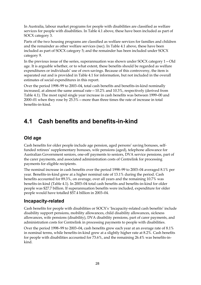In Australia, labour market programs for people with disabilities are classified as welfare services for people with disabilities. In Table 4.1 above, these have been included as part of SOCX category 3.

Parts of the two housing programs are classified as welfare services for families and children and the remainder as other welfare services (nec). In Table 4.1 above, these have been included as part of SOCX category 5; and the remainder has been included under SOCX category 9.

In the previous issue of the series, superannuation was shown under SOCX category 1—Old age. It is arguable whether, or to what extent, these benefits should be regarded as welfare expenditures or individuals' use of own savings. Because of this controversy, the item is separated out and is provided in Table 4.1 for information, but not included in the overall estimates of social expenditures in this report.

Over the period 1998–99 to 2003–04, total cash benefits and benefits-in-kind nominally increased, at almost the same annual rate—10.2% and 10.3%, respectively (derived from Table 4.1). The most rapid single year increase in cash benefits was between 1999–00 and 2000–01 when they rose by 25.3%—more than three times the rate of increase in total benefits-in-kind.

### **4.1 Cash benefits and benefits-in-kind**

### **Old age**

Cash benefits for older people include age pension, aged persons' saving bonuses, selffunded retirees' supplementary bonuses, wife pensions (aged), telephone allowance for Australian Government seniors, one-off payments to seniors, DVA service pensions, part of the carer payments, and associated administration costs of Centrelink for processing payments for eligible recipients.

The nominal increase in cash benefits over the period 1998–99 to 2003–04 averaged 8.1% per year. Benefits-in-kind grew at a higher nominal rate of 13.1% during the period. Cash benefits accounted for 89.3%, on average, over all years and the remaining 10.7% was benefits-in-kind (Table 4.1). In 2003–04 total cash benefits and benefits-in-kind for older people was \$27.7 billion. If superannuation benefits were included, expenditure for older people would have totalled \$57.4 billion in 2003–04.

### **Incapacity-related**

Cash benefits for people with disabilities or SOCX's 'Incapacity-related cash benefits' include disability support pensions, mobility allowances, child disability allowances, sickness allowances, wife pensions (disability), DVA disability pensions, part of carer payments, and administration costs for Centrelink in processing payments to people with disabilities.

Over the period 1998–99 to 2003–04, cash benefits grew each year at an average rate of 8.1% in nominal terms, while benefits-in-kind grew at a slightly higher rate at 8.2%. Cash benefits for people with disabilities accounted for 73.6%, and the remaining 26.4% was benefits-inkind.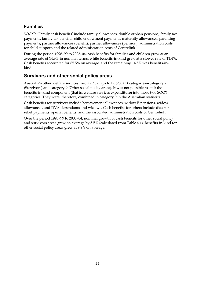### **Families**

SOCX's 'Family cash benefits' include family allowances, double orphan pensions, family tax payments, family tax benefits, child endowment payments, maternity allowances, parenting payments, partner allowances (benefit), partner allowances (pension), administration costs for child support, and the related administration costs of Centrelink.

During the period 1998–99 to 2003–04, cash benefits for families and children grew at an average rate of 14.3% in nominal terms, while benefits-in-kind grew at a slower rate of 11.4%. Cash benefits accounted for 85.5% on average, and the remaining 14.5% was benefits-inkind.

### **Survivors and other social policy areas**

Australia's other welfare services (nec) GPC maps to two SOCX categories—category 2 (Survivors) and category 9 (Other social policy areas). It was not possible to split the benefits-in-kind component (that is, welfare services expenditure) into those two SOCX categories. They were, therefore, combined in category 9 in the Australian statistics.

Cash benefits for survivors include bereavement allowances, widow B pensions, widow allowances, and DVA dependants and widows. Cash benefits for others include disaster relief payments, special benefits, and the associated administration costs of Centrelink.

Over the period 1998–99 to 2003–04, nominal growth of cash benefits for other social policy and survivors areas grew on average by 5.5% (calculated from Table 4.1). Benefits-in-kind for other social policy areas grew at 9.8% on average.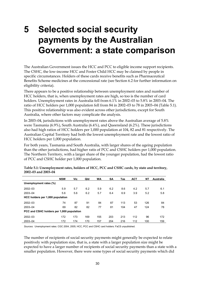# **5 Selected social security payments by the Australian Government: a state comparison**

The Australian Government issues the HCC and PCC to eligible income support recipients. The CSHC, the low-income HCC and Foster Child HCC may be claimed by people in specific circumstances. Holders of these cards receive benefits such as Pharmaceutical Benefits Scheme medicines at the concessional rate (see Section 6.2 for further information on eligibility criteria).

There appears to be a positive relationship between unemployment rates and number of HCC holders, that is, when unemployment rates are high, so too is the number of card holders. Unemployment rates in Australia fell from 6.1% in 2002–03 to 5.8% in 2003–04. The ratio of HCC holders per 1,000 population fell from 84 in 2002–03 to 78 in 2003–04 (Table 5.1). This positive relationship was also evident across other jurisdictions, except for South Australia, where other factors may complicate the analysis.

In 2003–04, jurisdictions with unemployment rates above the Australian average of 5.8% were Tasmania (6.9%), South Australia (6.4%), and Queensland (6.2%). These jurisdictions also had high ratios of HCC holders per 1,000 population at 104, 82 and 81 respectively. The Australian Capital Territory had both the lowest unemployment rate and the lowest ratio of HCC holders per 1,000 population.

For both years, Tasmania and South Australia, with larger shares of the ageing population than the other jurisdictions, had higher ratis of PCC and CSHC holders per 1,000 population. The Northern Territory, with a larger share of the younger population, had the lowest ratio of PCC and CSHC holder per 1,000 population.

|                                           | <b>NSW</b> | Vic | Qld | <b>WA</b> | <b>SA</b> | Tas | <b>ACT</b> | <b>NT</b> | Australia |
|-------------------------------------------|------------|-----|-----|-----------|-----------|-----|------------|-----------|-----------|
| Unemployment rates (%)                    |            |     |     |           |           |     |            |           |           |
| $2002 - 03$                               | 5.9        | 5.7 | 6.2 | 5.9       | 6.2       | 8.6 | 4.2        | 5.7       | 6.1       |
| 2003-04                                   | 5.6        | 5.6 | 6.2 | 5.7       | 6.4       | 6.9 | 3.9        | 5.2       | 5.8       |
| HCC holders per 1,000 population          |            |     |     |           |           |     |            |           |           |
| $2002 - 03$                               | 74         | 87  | 91  | 84        | 87        | 113 | 53         | 126       | 84        |
| 2003-04                                   | 69         | 82  | 82  | 77        | 81        | 104 | 47         | 124       | 78        |
| PCC and CSHC holders per 1,000 population |            |     |     |           |           |     |            |           |           |
| 2002-03                                   | 172        | 173 | 169 | 155       | 203       | 213 | 112        | 96        | 172       |
| 2003-04                                   | 172        | 174 | 170 | 157       | 204       | 216 | 112        | 100       | 159       |

**Table 5.1: Unemployment rates, holders of HCC, PCC and CSHC cards, by state and territory, 2002–03 and 2003–04** 

*Sources:* Unemployment rates: CGC 2004, 2005; HCC, PCC and CSHC card holders: FaCS unpublished.

The number of recipients of social security payments might generally be expected to relate positively with population size, that is, a state with a larger population size might be expected to have a larger number of recipients of social security payments than a state with a smaller population. However, there were some types of social security payments which did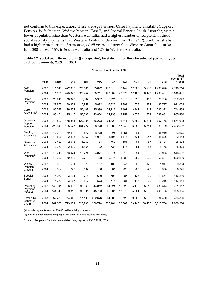not conform to this expectation. These are Age Pension, Carer Payment, Disability Support Pension, Wife Pension, Widow Pension Class B, and Special Benefit. South Australia, with a lower population size than Western Australia, had a higher number of recipients in these social security payments than Western Australia (derived from Table 5.2). South Australia had a higher proportion of persons aged 65 years and over than Western Australia—at 30 June 2004, it was 15% in South Australia and 12% in Western Australia.

|                           | Number of recipients ('000) |                  |                  |                |                |                |                |            |            |                  |                                 |
|---------------------------|-----------------------------|------------------|------------------|----------------|----------------|----------------|----------------|------------|------------|------------------|---------------------------------|
|                           |                             |                  |                  |                |                |                |                |            |            |                  | Total<br>payment <sup>(a)</sup> |
|                           | Year                        | <b>NSW</b>       | <b>Vic</b>       | Qld            | <b>WA</b>      | <b>SA</b>      | Tas            | <b>ACT</b> | <b>NT</b>  | <b>Total</b>     | (\$'000)                        |
| Age                       | 2003                        | 611,513          | 472,333          | 320,161        | 155,892        | 173,316        | 30,442         | 17,088     | 5,933      | 1.786.678        | 17,740,214                      |
| Pension                   | 2004                        | 611,985          | 475,329          | 325,457        | 155,711        | 173,982        | 27,775         | 17,109     | 6,143      | 1,793,491        | 19,540,401                      |
| Carer                     | 2003                        | 26,910           | 18,870           | 15,367         | 5,357          | 5,721          | 2,615          | 536        | 410        | 75,786           | 702,649                         |
| Payment <sup>(b)</sup>    | 2004                        | 29,856           | 20,931           | 16,959         | 5,872          | 6,323          | 2,794          | 578        | 484        | 83,797           | 921,008                         |
| Carer                     | 2003                        | 96,548           | 76,652           | 57,407         | 25,398         | 24,112         | 8,402          | 3,441      | 1,412      | 293,372          | 744,488                         |
| Allowance <sup>(b)</sup>  | 2004                        | 95,401           | 75,115           | 57,532         | 23,864         | 24,133         | 8,154          | 3,073      | 1,359      | 288,631          | 965,430                         |
| Disability                | 2003                        | 219,820          | 158,881          | 129,385        | 56,273         | 64,321         | 16,314         | 6,850      | 5,314      | 657,158          | 6,851,608                       |
| Support<br>Pension        | 2004                        | 225,649          | 165,577          | 134,227        | 58,728         | 66,283         | 17,042         | 6,982      | 5,711      | 680,199          | 7,492,532                       |
| Mobility<br>Allowance     | 2003<br>2004                | 12,768<br>13,526 | 12,093<br>12,495 | 8,477<br>8,967 | 3,723<br>4,091 | 5,024<br>5,496 | 1,364<br>1,473 | 534<br>531 | 236<br>247 | 44,219<br>46,826 | 74,975<br>82,163                |
| <b>Sickness</b>           | 2003                        | 2,430            | 2,513            | 1,969          | 784            | 760            | 184            | 94         | 57         | 8,791            | 85,528                          |
| Allowance                 | 2004                        | 2,353            | 2,499            | 1,854          | 722            | 738            | 176            | 81         | 55         | 8,478            | 85,375                          |
| Wife                      | 2003                        | 18,710           | 13,474           | 10,724         | 4,871          | 5,574          | 2,016          | 294        | 262        | 55,925           | 546,562                         |
| Pension <sup>(b)</sup>    | 2004                        | 16,920           | 12,296           | 9,719          | 4,423          | 5,071          | 1,638          | 259        | 228        | 50,554           | 520,259                         |
| Widow                     | 2003                        | 650              | 501              | 376            | 167            | 180            | 47             | 26         | 20         | 1,947            | 39,804                          |
| Pension<br>Class B        | 2004                        | 324              | 270              | 197            | 86             | 81             | 20             | 20         | 20         | 958              | 26,275                          |
| Special                   | 2003                        | 5.960            | 3,194            | 716            | 630            | 798            | 87             | 136        | 30         | 11,551           | 116,286                         |
| <b>Benefit</b>            | 2004                        | 5.769            | 3,167            | 677            | 573            | 776            | 84             | 148        | 22         | 11,216           | 113,141                         |
| Parenting                 | 2003                        | 140,941          | 96,093           | 95,860         | 44,812         | 34,924         | 12,928         | 5,170      | 5,816      | 436,544          | 5,731,117                       |
| Payment<br>(single)       | 2004                        | 144,313          | 99,316           | 99,001         | 45,783         | 35,881         | 13,276         | 5,201      | 5,932      | 448,703          | 5,995,135                       |
| Family Tax                | 2003                        | 957,786          | 714,440          | 617,108        | 302,676        | 234,303        | 82,722         | 39,563     | 35,832     | 2,984,420        | 10,473,856                      |
| <b>Benefit A</b><br>and B | 2004                        | 962,686          | 723,351          | 626,933        | 306,724        | 235,481        | 83,302         | 39,143     | 36,168     | 3,013,788        | 12,869,904                      |

**Table 5.2: Social security recipients (June quarter), by state and territory by selected payment types and total payments, 2003 and 2004** 

(a) Include payments to about 75,000 residents living overseas.

(b) Including older persons and people with disabilities (see page 33 for details).

*Sources:* Recipients: Centrelink unpublished data; payments: FaCS 2002, 2003.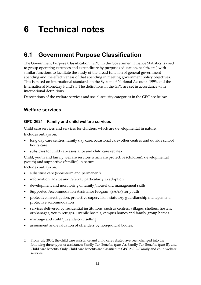# **6 Technical notes**

### **6.1 Government Purpose Classification**

The Government Purpose Classification (GPC) in the Government Finance Statistics is used to group operating expenses and expenditure by purpose (education, health, etc.) with similar functions to facilitate the study of the broad function of general government spending and the effectiveness of that spending in meeting government policy objectives. This is based on international standards in the System of National Accounts 1993, and the International Monetary Fund's I. The definitions in the GPC are set in accordance with international definitions.

Descriptions of the welfare services and social security categories in the GPC are below.

### **Welfare services**

### **GPC 2621—Family and child welfare services**

Child care services and services for children, which are developmental in nature.

Includes outlays on:

- long day care centres, family day care, occasional care/other centres and outside school hours care
- subsidies for child care assistance and child care rebate.<sup>2</sup>

Child, youth and family welfare services which are protective (children), developmental (youth) and supportive (families) in nature.

Includes outlays on:

 $\overline{a}$ 

- substitute care (short-term and permanent)
- information, advice and referral, particularly in adoption
- development and monitoring of family/household management skills
- Supported Accommodation Assistance Program (SAAP) for youth
- protective investigation, protective supervision, statutory guardianship management, protective accommodation
- services delivered by residential institutions, such as centres, villages, shelters, hostels, orphanages, youth refuges, juvenile hostels, campus homes and family group homes
- marriage and child/juvenile counselling
- assessment and evaluation of offenders by non-judicial bodies.

<sup>2</sup> From July 2000, the child care assistance and child care rebate have been changed into the following three types of assistance: Family Tax Benefits (part A), Family Tax Benefits (part B), and Child care benefits. Only Child care benefits are classified to GPC 2621—Family and child welfare services.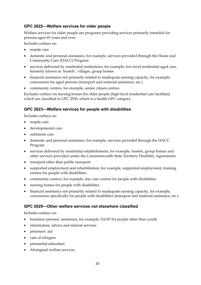### **GPC 2622—Welfare services for older people**

Welfare services for older people are programs providing services primarily intended for persons aged 65 years and over.

Includes outlays on:

- respite care
- domestic and personal assistance, for example, services provided through the Home and Community Care (HACC) Program
- services delivered by residential institutions, for example, low-level residential aged care, formerly known as 'hostels', villages, group homes
- financial assistance not primarily related to inadequate earning capacity, for example, concessions for aged persons (transport and material assistance, etc.)
- community centres, for example, senior citizen centres.

Excludes outlays on nursing homes for older people (high-level residential care facilities) which are classified to GPC 2530, which is a health GPC category.

### **GPC 2623—Welfare services for people with disabilities**

Includes outlays on:

- respite care
- developmental care
- substitute care
- domestic and personal assistance, for example, services provided through the HACC Program
- services delivered by residential establishments, for example, hostels, group homes and other services provided under the Commonwealth State Territory Disability Agreements
- transport other than public transport
- supported employment and rehabilitation, for example, supported employment, training centres for people with disabilities
- community centres, for example, day care centres for people with disabilities
- nursing homes for people with disabilities
- financial assistance not primarily related to inadequate earning capacity, for example, concessions specifically for people with disabilities (transport and material assistance, etc.).

### **GPC 2629—Other welfare services not elsewhere classified**

Includes outlays on:

- homeless persons' assistance, for example, SAAP for people other than youth
- information, advice and referral services
- prisoners' aid
- care of refugees
- premarital education
- Aboriginal welfare services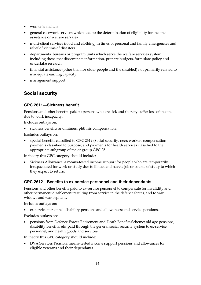- women's shelters
- general casework services which lead to the determination of eligibility for income assistance or welfare services
- multi-client services (food and clothing) in times of personal and family emergencies and relief of victims of disasters
- departments, bureaus or program units which serve the welfare services system including those that disseminate information, prepare budgets, formulate policy and undertake research
- financial assistance (other than for older people and the disabled) not primarily related to inadequate earning capacity
- management support.

### **Social security**

### **GPC 2611—Sickness benefit**

Pensions and other benefits paid to persons who are sick and thereby suffer loss of income due to work incapacity.

Includes outlays on:

sickness benefits and miners, phthisis compensation.

Excludes outlays on:

• special benefits classified to GPC 2619 (Social security, nec); workers compensation payments classified to purpose; and payments for health services classified to the appropriate subgroup of major group GPC 25.

In theory this GPC category should include:

• Sickness Allowance: a means-tested income support for people who are temporarily incapacitated for work or study due to illness and have a job or course of study to which they expect to return.

### **GPC 2612—Benefits to ex-service personnel and their dependants**

Pensions and other benefits paid to ex-service personnel to compensate for invalidity and other permanent disablement resulting from service in the defence forces, and to war widows and war orphans.

Includes outlays on:

• ex-service personnel disability pensions and allowances; and service pensions.

Excludes outlays on:

• pensions from Defence Forces Retirement and Death Benefits Scheme; old age pensions, disability benefits, etc. paid through the general social security system to ex-service personnel; and health goods and services.

In theory this GPC category should include:

• DVA Services Pension: means-tested income support pensions and allowances for eligible veterans and their dependants.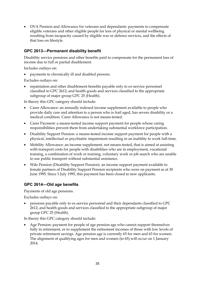• DVA Pension and Allowance for veterans and dependants: payments to compensate eligible veterans and other eligible people for loss of physical or mental wellbeing resulting from incapacity caused by eligible war or defence services, and the effects of that loss on lifestyle.

### **GPC 2613—Permanent disability benefit**

Disability service pensions and other benefits paid to compensate for the permanent loss of income due to full or partial disablement.

Includes outlays on:

• payments to chronically ill and disabled persons.

Excludes outlays on:

• repatriation and other disablement benefits payable only to ex-service personnel classified to GPC 2612; and health goods and services classified to the appropriate subgroup of major group GPC 25 (Health).

In theory this GPC category should include:

- Carer Allowance: an annually indexed income supplement available to people who provide daily care and attention to a person who is frail aged, has severe disability or a medical condition. Carer Allowance is not means-tested.
- Carer Payment: a means-tested income support payment for people whose caring responsibilities prevent them from undertaking substantial workforce participation.
- Disability Support Pension: a means-tested income support payment for people with a physical, intellectual or psychiatric impairment resulting in an inability to work full-time.
- Mobility Allowance: an income supplement, not means-tested, that is aimed at assisting with transport costs for people with disabilities who are in employment, vocational training, a combination of work or training, voluntary work or job search who are unable to use public transport without substantial assistance.
- Wife Pension (Disability Support Pension): an income support payment available to female partners of Disability Support Pension recipients who were on payment as at 30 June 1995. Since 1 July 1995, this payment has been closed to new applicants.

### **GPC 2614—Old age benefits**

Payments of old age pensions.

Excludes outlays on:

• pensions payable only to ex-service personnel and their dependants classified to GPC 2612; and health goods and services classified to the appropriate subgroup of major group GPC 25 (Health).

In theory this GPC category should include:

• Age Pension: payment for people of age pension age who cannot support themselves fully in retirement, or to supplement the retirement incomes of those with low levels of private retirement savings. Age pension age is currently 65 for men and 63 for women. The alignment of qualifying ages for men and women (to 65) will occur on 1 January 2014.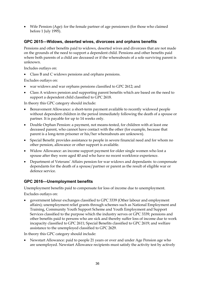• Wife Pension (Age): for the female partner of age pensioners (for those who claimed before 1 July 1995).

### **GPC 2615—Widows, deserted wives, divorcees and orphans benefits**

Pensions and other benefits paid to widows, deserted wives and divorcees that are not made on the grounds of the need to support a dependent child. Pensions and other benefits paid where both parents of a child are deceased or if the whereabouts of a sole surviving parent is unknown.

Includes outlays on:

• Class B and C widows pensions and orphans pensions.

Excludes outlays on:

- war widows and war orphans pensions classified to GPC 2612; and
- Class A widows pension and supporting parent benefits which are based on the need to support a dependent child classified to GPC 2618.

In theory this GPC category should include:

- Bereavement Allowance: a short-term payment available to recently widowed people without dependent children in the period immediately following the death of a spouse or partner. It is payable for up to 14 weeks only.
- Double Orphan Pension: a payment, not means-tested, for children with at least one deceased parent, who cannot have contact with the other (for example, because that parent is a long-term prisoner or his/her whereabouts are unknown).
- Special Benefit: provides assistance to people in severe financial need and for whom no other pension, allowance or other support is available.
- Widow Allowance: an income support payment for older single women who lost a spouse after they were aged 40 and who have no recent workforce experience.
- Department of Veterans' Affairs pension for war widows and dependants: to compensate dependants for the death of a spouse/partner or parent as the result of eligible war or defence service.

### **GPC 2616—Unemployment benefits**

Unemployment benefits paid to compensate for loss of income due to unemployment.

Excludes outlays on:

• government labour exchanges classified to GPC 3339 (Other labour and employment affairs); unemployment relief grants through schemes such as National Employment and Training, Community Youth Support Scheme and Youth Employment and Support Services classified to the purpose which the industry serves or GPC 3339; pensions and other benefits paid to persons who are sick and thereby suffer loss of income due to work incapacity classified to GPC 2611; Special Benefits classified to GPC 2619; and welfare assistance to the unemployed classified to GPC 2629.

In theory this GPC category should include:

• Newstart Allowance: paid to people 21 years or over and under Age Pension age who are unemployed. Newstart Allowance recipients must satisfy the activity test by actively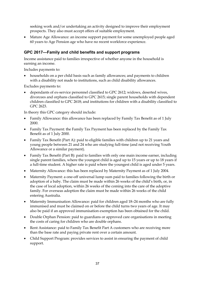seeking work and/or undertaking an activity designed to improve their employment prospects. They also must accept offers of suitable employment.

• Mature Age Allowance: an income support payment for some unemployed people aged 60 years to Age Pension age who have no recent workforce experience.

### **GPC 2617—Family and child benefits and support programs**

Income assistance paid to families irrespective of whether anyone in the household is earning an income.

Includes payments to:

• households on a per child basis such as family allowances; and payments to children with a disability not made to institutions, such as child disability allowances.

Excludes payments to:

• dependants of ex-service personnel classified to GPC 2612; widows, deserted wives, divorcees and orphans classified to GPC 2615; single parent households with dependent children classified to GPC 2618; and institutions for children with a disability classified to GPC 2623.

In theory this GPC category should include:

- Family Allowance: this allowance has been replaced by Family Tax Benefit as of 1 July 2000.
- Family Tax Payment: the Family Tax Payment has been replaced by the Family Tax Benefit as of 1 July 2000.
- Family Tax Benefit (Part A): paid to eligible families with children up to 21 years and young people between 21 and 24 who are studying full-time (and not receiving Youth Allowance or a similar payment).
- Family Tax Benefit (Part B): paid to families with only one main income earner, including single parent families, where the youngest child is aged up to 15 years or up to 18 years if a full-time student. A higher rate is paid where the youngest child is aged under 5 years.
- Maternity Allowance: this has been replaced by Maternity Payment as of 1 July 2004.
- Maternity Payment: a one-off universal lump sum paid to families following the birth or adoption of a baby. The claim must be made within 26 weeks of the child's birth, or, in the case of local adoption, within 26 weeks of the coming into the care of the adoptive family. For overseas adoption the claim must be made within 26 weeks of the child entering Australia.
- Maternity Immunisation Allowance: paid for children aged 18–24 months who are fully immunised and must be claimed on or before the child turns two years of age. It may also be paid if an approved immunisation exemption has been obtained for the child.
- Double Orphan Pension: paid to guardians or approved care organisations in meeting the costs of caring for children who are double orphans.
- Rent Assistance: paid to Family Tax Benefit Part A customers who are receiving more than the base rate and paying private rent over a certain amount.
- Child Support Program: provides services to assist in ensuring the payment of child support.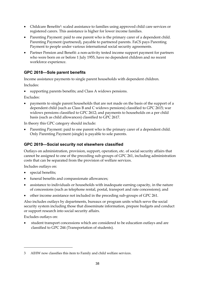- Childcare Benefits<sup>3</sup>: scaled assistance to families using approved child care services or registered carers. This assistance is higher for lower income families.
- Parenting Payment: paid to one parent who is the primary carer of a dependent child. Parenting Payment (partnered), payable to partnered parents. FaCS pays Parenting Payment to people under various international social security agreements.
- Partner Pension and Benefit: a non-activity tested income support payment for partners who were born on or before 1 July 1955, have no dependent children and no recent workforce experience.

### **GPC 2618—Sole parent benefits**

Income assistance payments to single parent households with dependent children.

Includes:

supporting parents benefits; and Class A widows pensions.

Excludes:

• payments to single parent households that are not made on the basis of the support of a dependent child (such as Class B and C widows pensions) classified to GPC 2615; war widows pensions classified to GPC 2612; and payments to households on a per child basis (such as child allowances) classified to GPC 2617.

In theory this GPC category should include:

Parenting Payment: paid to one parent who is the primary carer of a dependent child. Only Parenting Payment (single) is payable to sole parents.

### **GPC 2619—Social security not elsewhere classified**

Outlays on administration, provision, support, operation, etc. of social security affairs that cannot be assigned to one of the preceding sub-groups of GPC 261, including administration costs that can be separated from the provision of welfare services.

Includes outlays on:

- special benefits;
- funeral benefits and compassionate allowances;
- assistance to individuals or households with inadequate earning capacity, in the nature of concessions (such as telephone rental, postal, transport and rate concessions); and
- other income assistance not included in the preceding sub-groups of GPC 261.

Also includes outlays by departments, bureaux or program units which serve the social security system including those that disseminate information, prepare budgets and conduct or support research into social security affairs.

Excludes outlays on:

 $\overline{a}$ 

• student transport concessions which are considered to be education outlays and are classified to GPC 244 (Transportation of students).

<sup>3</sup> AIHW now classifies this item to Family and child welfare services.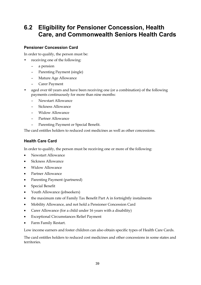### **6.2 Eligibility for Pensioner Concession, Health Care, and Commonwealth Seniors Health Cards**

#### **Pensioner Concession Card**

In order to qualify, the person must be:

- receiving one of the following:
	- a pension
	- Parenting Payment (single)
	- Mature Age Allowance
	- Carer Payment
- aged over 60 years and have been receiving one (or a combination) of the following payments continuously for more than nine months:
	- Newstart Allowance
	- Sickness Allowance
	- Widow Allowance
	- Partner Allowance
	- Parenting Payment or Special Benefit.

The card entitles holders to reduced cost medicines as well as other concessions.

### **Health Care Card**

In order to qualify, the person must be receiving one or more of the following:

- Newstart Allowance
- Sickness Allowance
- Widow Allowance
- Partner Allowance
- Parenting Payment (partnered)
- Special Benefit
- Youth Allowance (jobseekers)
- the maximum rate of Family Tax Benefit Part A in fortnightly instalments
- Mobility Allowance, and not hold a Pensioner Concession Card
- Carer Allowance (for a child under 16 years with a disability)
- Exceptional Circumstances Relief Payment
- Farm Family Restart.

Low income earners and foster children can also obtain specific types of Health Care Cards.

The card entitles holders to reduced cost medicines and other concessions in some states and territories.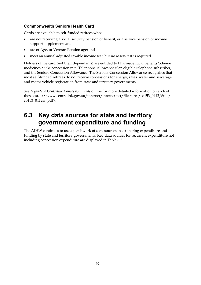### **Commonwealth Seniors Health Card**

Cards are available to self-funded retirees who:

- are not receiving a social security pension or benefit, or a service pension or income support supplement; and
- are of Age, or Veteran Pension age; and
- meet an annual adjusted taxable income test, but no assets test is required.

Holders of the card (not their dependants) are entitled to Pharmaceutical Benefits Scheme medicines at the concession rate, Telephone Allowance if an eligible telephone subscriber, and the Seniors Concession Allowance. The Seniors Concession Allowance recognises that most self-funded retirees do not receive concessions for energy, rates, water and sewerage, and motor vehicle registration from state and territory governments.

See *A guide to Centrelink Concession Cards* online for more detailed information on each of these cards: <www.centrelink.gov.au/internet/internet.nsf/filestores/co153\_0412/\$file/ co153\_0412en.pdf>.

### **6.3 Key data sources for state and territory government expenditure and funding**

The AIHW continues to use a patchwork of data sources in estimating expenditure and funding by state and territory governments. Key data sources for recurrent expenditure not including concession expenditure are displayed in Table 6.1.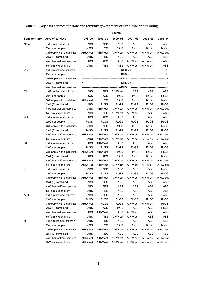|                        |                              |             |             | <b>Source</b> |             |                    |             |
|------------------------|------------------------------|-------------|-------------|---------------|-------------|--------------------|-------------|
| <b>State/territory</b> | Area of services             | 1998-99     | 1999-00     | 2000-01       | 2001-02     | 2002-03            | 2003-04     |
| <b>NSW</b>             | (1) Families and children    |             |             | ABS           | ABS         |                    | ABS         |
|                        | (2) Older people             | ABS<br>RoGS | ABS<br>RoGS | RoGS          | RoGS        | ABS<br><b>RoGS</b> | <b>RoGS</b> |
|                        | (3) People with disabilities | AIHW est    | AIHW est    | AIHW est      | AIHW est    | AIHW est           | AIHW est    |
|                        |                              |             |             |               |             |                    | ABS         |
|                        | $(2)$ & $(3)$ combined       | ABS         | ABS         | ABS           | ABS         | ABS                |             |
|                        | (4) Other welfare services   | ABS         | ABS         | ABS           | AIHW est    | AIHW est           | <b>ABS</b>  |
|                        | (5) Total expenditure        | <b>ABS</b>  | ABS         | <b>ABS</b>    | AIHW est    | AIHW est           | <b>ABS</b>  |
| Vic                    | (1) Families and children    |             |             |               |             |                    |             |
|                        | (2) Older people             |             |             |               |             |                    |             |
|                        | (3) People with disabilities |             |             |               |             |                    |             |
|                        | $(2)$ & $(3)$ combined       |             |             |               |             |                    |             |
|                        | (4) Other welfare services   |             |             |               |             |                    |             |
| Qld                    | (1) Families and children    | <b>ABS</b>  | ABS         | AIHW est      | ABS         | ABS                | <b>ABS</b>  |
|                        | (2) Older people             | RoGS        | RoGS        | RoGS          | RoGS        | RoGS               | RoGS        |
|                        | (3) People with disabilities | AIHW est    | RoGS        | <b>RoGS</b>   | RoGS        | RoGS               | RoGS        |
|                        | $(2)$ & $(3)$ combined       | ABS         | RoGS        | RoGS          | RoGS        | RoGS               | RoGS        |
|                        | (4) Other welfare services   | <b>ABS</b>  | AIHW est    | AIHW est      | AIHW est    | AIHW est           | AIHW est    |
|                        | (5) Total expenditure        | <b>ABS</b>  | <b>ABS</b>  | AIHW est      | AIHW est    | <b>ABS</b>         | <b>ABS</b>  |
| WA                     | (1) Families and children    | <b>ABS</b>  | ABS         | ABS           | ABS         | <b>ABS</b>         | ABS         |
|                        | (2) Older people             | RoGS        | <b>RoGS</b> | RoGS          | RoGS        | <b>RoGS</b>        | RoGS        |
|                        | (3) People with disabilities | RoGS        | RoGS        | RoGS          | <b>RoGS</b> | RoGS               | RoGS        |
|                        | $(2)$ & $(3)$ combined       | RoGS        | RoGS        | RoGS          | RoGS        | RoGS               | RoGS        |
|                        | (4) Other welfare services   | AIHW est    | AIHW est    | AIHW est      | AIHW est    | AIHW est           | AIHW est    |
|                        | (5) Total expenditure        | <b>ABS</b>  | AIHW est    | AIHW est      | AIHW est    | AIHW est           | AIHW est    |
| SА                     | (1) Families and children    | <b>ABS</b>  | AIHW est    | ABS           | ABS         | <b>ABS</b>         | <b>ABS</b>  |
|                        | (2) Older people             | RoGS        | <b>RoGS</b> | RoGS          | RoGS        | <b>RoGS</b>        | <b>RoGS</b> |
|                        | (3) People with disabilities | AIHW est    | AIHW est    | <b>RoGS</b>   | RoGS        | RoGS               | <b>RoGS</b> |
|                        | $(2)$ & $(3)$ combined       | <b>ABS</b>  | <b>ABS</b>  | RoGS          | RoGS        | RoGS               | RoGS        |
|                        | (4) Other welfare services   | AIHW est    | AIHW est    | AIHW est      | AIHW est    | AIHW est           | AIHW est    |
|                        | (5) Total expenditure        | AIHW est    | AIHW est    | AIHW est      | AIHW est    | AIHW est           | AIHW est    |
| Tas                    | (1) Families and children    | ABS         | ABS         | ABS           | ABS         | ABS                | RoGS        |
|                        | (2) Older people             | RoGS        | <b>RoGS</b> | RoGS          | RoGS        | RoGS               | RoGS        |
|                        | (3) People with disabilities | AIHW est    | AIHW est    | AIHW est      | AIHW est    | AIHW est           | AIHW est    |
|                        | $(2)$ & $(3)$ combined       | ABS         | <b>ABS</b>  | ABS           | ABS         | ABS                | <b>ABS</b>  |
|                        | (4) Other welfare services   | ABS         | <b>ABS</b>  | ABS           | ABS         | ABS                | <b>ABS</b>  |
|                        | (5) Total expenditure        | ABS         | ABS         | ABS           | ABS         | ABS                | ABS         |
| <b>ACT</b>             | (1) Families and children    | ABS         | ABS         | ABS           | ABS         | ABS                | ABS         |
|                        | (2) Older people             | RoGS        | RoGS        | RoGS          | RoGS        | RoGS               | RoGS        |
|                        | (3) People with disabilities | AIHW est    | RoGS        | <b>RoGS</b>   | AIHW est    | AIHW est           | RoGS        |
|                        | $(2)$ & $(3)$ combined       | <b>ABS</b>  | RoGS        | RoGS          | <b>ABS</b>  | ABS                | RoGS        |
|                        | (4) Other welfare services   | <b>ABS</b>  | AIHW est    | ABS           | AIHW est    | <b>ABS</b>         | <b>ABS</b>  |
|                        | (5) Total expenditure        | <b>ABS</b>  | <b>ABS</b>  | AIHW est      | AIHW est    | <b>ABS</b>         | ABS         |
| <b>NT</b>              | (1) Families and children    | ABS         | ABS         | ABS           | ABS         | ABS                | ABS         |
|                        | (2) Older people             | RoGS        | RoGS        | RoGS          | RoGS        | RoGS               | RoGS        |
|                        | (3) People with disabilities | AIHW est    | AIHW est    | AIHW est      | AIHW est    | AIHW est           | AIHW est    |
|                        | $(2)$ & $(3)$ combined       | <b>ABS</b>  | ABS         | ABS           | ABS         | <b>ABS</b>         | ABS         |
|                        | (4) Other welfare services   | AIHW est    | AIHW est    | AIHW est      | AIHW est    | AIHW est           | AIHW est    |
|                        |                              |             |             |               |             |                    |             |
|                        | (5) Total expenditure        | AIHW est    | AIHW est    | AIHW est      | AIHW est    | AIHW est           | AIHW est    |

**Table 6.1: Key data sources for state and territory government expenditure and funding**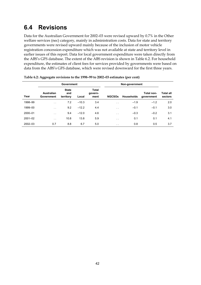### **6.4 Revisions**

Data for the Australian Government for 2002–03 were revised upward by 0.7% in the Other welfare services (nec) category, mainly in administration costs. Data for state and territory governments were revised upward mainly because of the inclusion of motor vehicle registration concession expenditure which was not available at state and territory level in earlier issues of this report. Data for local government expenditure were taken directly from the ABS's GFS database. The extent of the ABS revision is shown in Table 6.2. For household expenditure, the estimates of client fees for services provided by governments were based on data from the ABS's GFS database, which were revised downward for the first three years.

|             |                                 | Government                       |         |                                 |                      |            |                          |                             |
|-------------|---------------------------------|----------------------------------|---------|---------------------------------|----------------------|------------|--------------------------|-----------------------------|
| Year        | <b>Australian</b><br>Government | <b>State</b><br>and<br>territory | Local   | <b>Total</b><br>govern-<br>ment | <b>NGCSOS</b>        | Households | Total non-<br>government | <b>Total all</b><br>sectors |
| 1998-99     | $\sim$                          | 7.2                              | $-10.3$ | 3.4                             | $\sim$               | $-1.9$     | $-1.2$                   | 2.0                         |
| 1999-00     | $\sim$                          | 9.2                              | $-12.2$ | 4.4                             | $\ddot{\phantom{0}}$ | $-0.1$     | $-0.1$                   | 3.0                         |
| 2000-01     | $\ddotsc$                       | 9.4                              | $-12.0$ | 4.6                             | $\sim$               | $-0.3$     | $-0.2$                   | 3.1                         |
| $2001 - 02$ | $\ddot{\phantom{1}}$            | 10.8                             | 13.8    | 5.9                             | $\ddot{\phantom{0}}$ | 0.1        | 0.1                      | 4.1                         |
| $2002 - 03$ | 0.7                             | 8.8                              | 6.7     | 5.0                             | $\cdot$ $\cdot$      | 0.8        | 0.5                      | 3.7                         |

| Table 6.2: Aggregate revisions to the 1998-99 to 2002-03 estimates (per cent) |  |
|-------------------------------------------------------------------------------|--|
|                                                                               |  |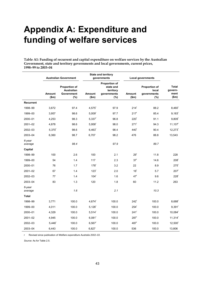## **Appendix A: Expenditure and funding of welfare services**

**Table A1: Funding of recurrent and capital expenditure on welfare services by the Australian Government, state and territory governments and local governments, current prices, 1998–99 to 2003–04** 

|                   |                      | <b>Australian Government</b>                            |                        | <b>State and territory</b><br>governments                            | <b>Local governments</b> |                                                     |                                          |
|-------------------|----------------------|---------------------------------------------------------|------------------------|----------------------------------------------------------------------|--------------------------|-----------------------------------------------------|------------------------------------------|
|                   | Amount<br>\$m\$      | Proportion of<br><b>Australian</b><br>Government<br>(%) | <b>Amount</b><br>\$m\$ | <b>Proportion of</b><br>state and<br>territory<br>governments<br>(%) | <b>Amount</b><br>\$m\$   | <b>Proportion of</b><br>local<br>governments<br>(%) | <b>Total</b><br>govern-<br>ment<br>\$m\$ |
| Recurrent         |                      |                                                         |                        |                                                                      |                          |                                                     |                                          |
| 1998-99           | 3,672                | 97.4                                                    | $4,575$ <sup>r</sup>   | 97.9                                                                 | 214 <sup>r</sup>         | 88.2                                                | $8,460^{\circ}$                          |
| 1999-00           | 3,957                | 98.6                                                    | $5,009$ <sup>r</sup>   | 97.7                                                                 | 217 <sup>r</sup>         | 85.4                                                | $9,183$ <sup>r</sup>                     |
| 2000-01           | 4,253                | 98.3                                                    | $5,337$ <sup>r</sup>   | 96.8                                                                 | 220 <sup>r</sup>         | 91.1                                                | $9,809$ <sup>r</sup>                     |
| $2001 - 02$       | 4,878                | 98.6                                                    | $5,958$ <sup>r</sup>   | 98.0                                                                 | $271$ <sup>r</sup>       | 94.3                                                | $11,107$ <sup>r</sup>                    |
| 2002-03           | $5,370$ <sup>r</sup> | 98.6                                                    | $6,463$ <sup>r</sup>   | 98.4                                                                 | 440 <sup>r</sup>         | 90.4                                                | 12,273                                   |
| 2003-04           | 6,360                | 98.7                                                    | 6,707                  | 98.2                                                                 | 476                      | 88.8                                                | 13,543                                   |
| 6-year<br>average |                      | 98.4                                                    |                        | 97.9                                                                 |                          | 89.7                                                |                                          |
| Capital           |                      |                                                         |                        |                                                                      |                          |                                                     |                                          |
| 1998-99           | 100                  | 2.6                                                     | 100                    | 2.1                                                                  | 29 <sup>r</sup>          | 11.8                                                | 228                                      |
| 1999-00           | 54                   | 1.4                                                     | 117                    | 2.3                                                                  | 37 <sup>r</sup>          | 14.6                                                | 208 <sup>r</sup>                         |
| 2000-01           | 76                   | 1.7                                                     | 178 <sup>r</sup>       | 3.2                                                                  | 22                       | 8.9                                                 | $275$ <sup>r</sup>                       |
| $2001 - 02$       | 67                   | 1.4                                                     | 123 <sup>r</sup>       | 2.0                                                                  | 16 <sup>r</sup>          | 5.7                                                 | 207 <sup>r</sup>                         |
| 2002-03           | 77                   | 1.4                                                     | 104 <sup>r</sup>       | 1.6                                                                  | 47 <sup>r</sup>          | 9.6                                                 | 228 <sup>r</sup>                         |
| 2003-04           | 83                   | 1.3                                                     | 120                    | 1.8                                                                  | 60                       | 11.2                                                | 263                                      |
| 6-year<br>average |                      | 1.6                                                     |                        | 2.1                                                                  |                          | 10.3                                                |                                          |
| Total             |                      |                                                         |                        |                                                                      |                          |                                                     |                                          |
| 1998-99           | 3,771                | 100.0                                                   | $4,674$ <sup>r</sup>   | 100.0                                                                | 242 <sup>r</sup>         | 100.0                                               | $8,688^{\circ}$                          |
| 1999-00           | 4,011                | 100.0                                                   | $5,126$ <sup>r</sup>   | 100.0                                                                | $254$ <sup>r</sup>       | 100.0                                               | $9,391$ <sup>r</sup>                     |
| 2000-01           | 4,329                | 100.0                                                   | $5.514$ <sup>r</sup>   | 100.0                                                                | $241$ <sup>r</sup>       | 100.0                                               | $10,084^r$                               |
| $2001 - 02$       | 4,945                | 100.0                                                   | $6,081$ <sup>r</sup>   | 100.0                                                                | 287 <sup>r</sup>         | 100.0                                               | $11,314$ <sup>r</sup>                    |
| 2002-03           | $5,446$ <sup>r</sup> | 100.0                                                   | $6,567$ <sup>r</sup>   | 100.0                                                                | 487 <sup>r</sup>         | 100.0                                               | 12,500                                   |
| 2003-04           | 6,443                | 100.0                                                   | 6,827                  | 100.0                                                                | 536                      | 100.0                                               | 13,806                                   |

r Revised since publication of *Welfare expenditure Australia 2002–03.* 

*Source:* As for Table 2.5.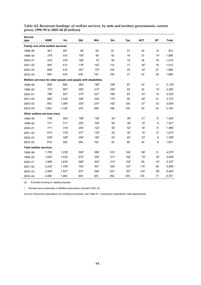| <b>Service</b>                |                                                                |                      |                    |                    |                  |                  |                  |                 |                      |
|-------------------------------|----------------------------------------------------------------|----------------------|--------------------|--------------------|------------------|------------------|------------------|-----------------|----------------------|
| type                          | <b>NSW</b>                                                     | <b>Vic</b>           | Qld                | <b>WA</b>          | <b>SA</b>        | Tas              | <b>ACT</b>       | <b>NT</b>       | <b>Total</b>         |
|                               | Family and child welfare services                              |                      |                    |                    |                  |                  |                  |                 |                      |
| 1998-99                       | 361 <sup>r</sup>                                               | 287                  | 98 <sup>r</sup>    | 60                 | 91               | 27               | 35               | 14              | 973                  |
| 1999-00                       | 379 <sup>r</sup>                                               | 333                  | 159 <sup>r</sup>   | 69                 | 92               | 19               | 31               | 14 <sup>r</sup> | 1,096                |
| 2000-01                       | 433 <sup>r</sup>                                               | 376                  | 169 <sup>r</sup>   | 75 <sup>r</sup>    | 94               | 19               | 36               | 18              | 1,218                |
| 2001-02                       | 564 <sup>r</sup>                                               | 410                  | $178$ <sup>r</sup> | 163 <sup>r</sup>   | 114              | 17               | 48 <sup>r</sup>  | 19              | 1,513                |
| 2002-03                       | 699 <sup>r</sup>                                               | 419                  | 207 <sup>r</sup>   | 170 <sup>r</sup>   | 105              | 25               | 34 <sup>r</sup>  | 27              | 1,686                |
| 2003-04                       | 584                                                            | 434                  | 236                | 191                | 150              | 21               | 42               | 29              | 1,686                |
|                               | Welfare services for older people and people with disabilities |                      |                    |                    |                  |                  |                  |                 |                      |
| 1998-99                       | 695 <sup>r</sup>                                               | 685                  | 260 <sup>r</sup>   | 199 <sup>r</sup>   | 169 <sup>r</sup> | 87               | 33               | 11              | $2,139$ <sup>r</sup> |
| 1999-00                       | 723 <sup>r</sup>                                               | 887 <sup>r</sup>     | 262 <sup>r</sup>   | 212 <sup>r</sup>   | 169 <sup>r</sup> | 92               | 32               | 15 <sup>r</sup> | $2,392$ <sup>r</sup> |
| 2000-01                       | 786 <sup>r</sup>                                               | 941 <sup>r</sup>     | 273 <sup>r</sup>   | 227 <sup>r</sup>   | 169 <sup>r</sup> | 83               | 33 <sup>r</sup>  | 19              | $2,532$ <sup>r</sup> |
| 2001-02                       | 862 <sup>r</sup>                                               | $1,030^{r}$          | 295                | $252$ <sup>r</sup> | 178 <sup>r</sup> | 85               | 48 <sup>r</sup>  | 21              | $2,772$ <sup>r</sup> |
| 2002-03                       | 953                                                            | $1,080^r$            | 330 <sup>°</sup>   | 274 <sup>r</sup>   | 182 <sup>r</sup> | 100              | 57 <sup>r</sup>  | 33              | 3,009 <sup>r</sup>   |
| 2003-04                       | 1,002                                                          | 1,128                | 378                | 298                | 198              | 102              | 50               | 34              | 3,190                |
|                               | Other welfare services (nec)                                   |                      |                    |                    |                  |                  |                  |                 |                      |
| 1998-99                       | 738 <sup>r</sup>                                               | 263 <sup>r</sup>     | 198 <sup>r</sup>   | 138 <sup>r</sup>   | 50 <sup>r</sup>  | 49 <sup>r</sup>  | 21 <sup>r</sup>  | 6 <sup>r</sup>  | $1,462$ <sup>r</sup> |
| 1999-00                       | $731$ <sup>r</sup>                                             | 311 <sup>r</sup>     | $252$ <sup>r</sup> | 109 <sup>r</sup>   | 50 <sup>r</sup>  | 46 <sup>r</sup>  | 16 <sup>r</sup>  | 6               | $1,521$ <sup>r</sup> |
| 2000-01                       | 771 <sup>r</sup>                                               | 316 <sup>r</sup>     | 254 <sup>r</sup>   | 122 <sup>r</sup>   | 50 <sup>r</sup>  | 52 <sup>r</sup>  | 16 <sup>r</sup>  | 6 <sup>r</sup>  | $1,586$ <sup>r</sup> |
| 2001-02                       | 815 <sup>r</sup>                                               | 319 <sup>r</sup>     | 277 <sup>r</sup>   | 135 <sup>r</sup>   | $52^r$           | 55 <sup>r</sup>  | 15 <sup>r</sup>  | 6 <sup>r</sup>  | $1,673$ <sup>r</sup> |
| 2002-03                       | 839 <sup>r</sup>                                               | 328 <sup>r</sup>     | 294 <sup>r</sup>   | 150 <sup>r</sup>   | 53 <sup>r</sup>  | $62^r$           | 33 <sup>r</sup>  | 8               | $1,768$ <sup>r</sup> |
| 2003-04                       | 879                                                            | 338                  | 295                | 152                | 45               | 80               | 34               | 8               | 1,831                |
| <b>Total welfare services</b> |                                                                |                      |                    |                    |                  |                  |                  |                 |                      |
| 1998-99                       | $1,795$ <sup>r</sup>                                           | $1,235$ <sup>r</sup> | 555 <sup>r</sup>   | 396 <sup>r</sup>   | 310 <sup>r</sup> | 164 <sup>r</sup> | 89 <sup>r</sup>  | 31              | $4,575$ <sup>r</sup> |
| 1999-00                       | 1,832                                                          | $1,532$ <sup>r</sup> | 673 <sup>r</sup>   | 390 <sup>r</sup>   | 311 <sup>r</sup> | 158 <sup>r</sup> | 79 <sup>r</sup>  | 35 <sup>r</sup> | $5,009$ <sup>r</sup> |
| 2000-01                       | $1,989$ <sup>r</sup>                                           | $1,633$ <sup>r</sup> | 696 <sup>r</sup>   | 424                | 313 <sup>r</sup> | 154 <sup>r</sup> | 85               | 43 <sup>r</sup> | $5,337$ <sup>r</sup> |
| $2001 - 02$                   | $2,242$ <sup>r</sup>                                           | $1,759$ <sup>r</sup> | 750 <sup>r</sup>   | $551$ <sup>r</sup> | 344 <sup>r</sup> | 157 <sup>r</sup> | 110 <sup>r</sup> | 46              | $5,958$ <sup>r</sup> |
| 2002-03                       | $2,490^r$                                                      | $1,827$ <sup>r</sup> | 831 <sup>r</sup>   | 594 <sup>r</sup>   | 341 <sup>r</sup> | 187 <sup>r</sup> | 124 <sup>r</sup> | 69 <sup>r</sup> | $6,463$ <sup>r</sup> |
| 2003-04                       | 2,466                                                          | 1,900                | 909                | 641                | 392              | 203              | 125              | 71              | 6,707                |

Table A2: Recurrent funding<sup>(a)</sup> of welfare services, by state and territory governments, current **prices, 1998–99 to 2003–04 (\$ million)** 

(a) Excludes funding for capital purposes.

r Revised since publication of *Welfare expenditure Australia 2002–03.* 

*Sources:* Recurrent expenditure not including concession: see Table 6.1; concession expenditure: state departments.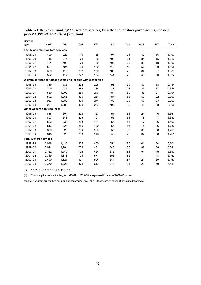| <b>Service</b>                                                 |            |            |     |           |     |     |            |           |              |  |
|----------------------------------------------------------------|------------|------------|-----|-----------|-----|-----|------------|-----------|--------------|--|
| type                                                           | <b>NSW</b> | <b>Vic</b> | Qld | <b>WA</b> | SA  | Tas | <b>ACT</b> | <b>NT</b> | <b>Total</b> |  |
| Family and child welfare services                              |            |            |     |           |     |     |            |           |              |  |
| 1998-99                                                        | 409        | 329        | 110 | 68        | 104 | 31  | 40         | 15        | 1,107        |  |
| 1999-00                                                        | 418        | 371        | 174 | 76        | 103 | 21  | 34         | 15        | 1,212        |  |
| 2000-01                                                        | 461        | 403        | 178 | 80        | 100 | 20  | 38         | 18        | 1,300        |  |
| $2001 - 02$                                                    | 584        | 424        | 184 | 169       | 118 | 18  | 50         | 20        | 1,565        |  |
| 2002-03                                                        | 699        | 419        | 207 | 170       | 105 | 25  | 34         | 27        | 1,686        |  |
| 2003-04                                                        | 562        | 417        | 227 | 184       | 144 | 20  | 40         | 28        | 1,622        |  |
| Welfare services for older people and people with disabilities |            |            |     |           |     |     |            |           |              |  |
| 1998-99                                                        | 789        | 785        | 292 | 226       | 193 | 99  | 37         | 13        | 2,434        |  |
| 1999-00                                                        | 799        | 987        | 286 | 234       | 188 | 103 | 35         | 17        | 2,648        |  |
| 2000-01                                                        | 839        | 1,008      | 289 | 243       | 181 | 89  | 38         | 21        | 2,704        |  |
| 2001-02                                                        | 892        | 1,065      | 305 | 261       | 184 | 88  | 50         | 22        | 2,866        |  |
| 2002-03                                                        | 953        | 1,080      | 330 | 274       | 182 | 100 | 57         | 33        | 3,009        |  |
| 2003-04                                                        | 964        | 1,085      | 364 | 287       | 190 | 98  | 48         | 33        | 3,068        |  |
| Other welfare services (nec)                                   |            |            |     |           |     |     |            |           |              |  |
| 1998-99                                                        | 838        | 301        | 223 | 157       | 57  | 56  | 24         | 6         | 1,661        |  |
| 1999-00                                                        | 807        | 346        | 276 | 121       | 55  | 51  | 18         | 7         | 1,680        |  |
| 2000-01                                                        | 822        | 338        | 268 | 131       | 54  | 56  | 17         | 6         | 1,692        |  |
| 2001-02                                                        | 843        | 329        | 286 | 140       | 54  | 56  | 15         | 6         | 1,730        |  |
| 2002-03                                                        | 839        | 328        | 294 | 150       | 53  | 62  | 33         | 8         | 1,768        |  |
| 2003-04                                                        | 845        | 326        | 283 | 146       | 43  | 78  | 32         | 8         | 1,761        |  |
| <b>Total welfare services</b>                                  |            |            |     |           |     |     |            |           |              |  |
| 1998-99                                                        | 2,036      | 1,415      | 625 | 450       | 354 | 186 | 101        | 34        | 5,201        |  |
| 1999-00                                                        | 2,024      | 1,704      | 736 | 431       | 346 | 175 | 87         | 38        | 5,541        |  |
| 2000-01                                                        | 2,122      | 1,749      | 736 | 454       | 335 | 164 | 91         | 45        | 5,697        |  |
| 2001-02                                                        | 2,319      | 1,818      | 774 | 571       | 356 | 162 | 114        | 48        | 6,162        |  |
| 2002-03                                                        | 2,490      | 1,827      | 831 | 594       | 341 | 187 | 124        | 69        | 6,463        |  |
| 2003-04                                                        | 2,370      | 1,828      | 874 | 617       | 378 | 195 | 120        | 69        | 6,451        |  |

**Table A3: Recurrent funding(a) of welfare services, by state and territory governments, constant prices(b), 1998–99 to 2003–04 (\$ million)** 

(a) Excluding funding for capital purposes.

(b) Constant price welfare funding for 1998–99 to 2003–04 is expressed in terms of 2002–03 prices.

*Source:* Recurrent expenditure not including concession: see Table 6.1; concession expenditure: state departments.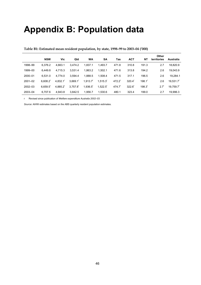## **Appendix B: Population data**

|             |                        |                        |                        |                        |                        |       |                 |                      | Other            |           |
|-------------|------------------------|------------------------|------------------------|------------------------|------------------------|-------|-----------------|----------------------|------------------|-----------|
|             | <b>NSW</b>             | Vic                    | Qld                    | <b>WA</b>              | SA                     | Tas   | <b>ACT</b>      | NΤ                   | territories      | Australia |
| 1998-99     | 6.376.2                | 4.663.1                | 3.474.2                | 1.837.1                | 1.493.7                | 471.8 | 310.8           | 191.3                | 2.7              | 18,820.9  |
| 1999-00     | 6.449.8                | 4,715.3                | 3,531.4                | 1,863.2                | 1,502.1                | 471.6 | 313.8           | 194.2                | 2.6              | 19,043.9  |
| 2000-01     | 6.531.0                | 4.774.0                | 3.594.4                | 1.888.5                | 1.508.4                | 471.5 | 317.1           | 196.5                | 2.6              | 19.284.1  |
| $2001 - 02$ | $6.608.2$ <sup>r</sup> | $4.832.1$ <sup>r</sup> | $3.669.1$ <sup>r</sup> | $1.913.7$ <sup>r</sup> | $1,515.3$ <sup>r</sup> | 472.2 | $320.4^{\circ}$ | $198.1$ <sup>r</sup> | 2.6              | 19.531.7  |
| 2002-03     | $6.659.5$ <sup>r</sup> | 4.885.2                | 3,757.8                | 1,936.5                | $1,522.5$ <sup>r</sup> | 474.7 | $322.6^{\circ}$ | 198.3 <sup>r</sup>   | 2.7 <sup>r</sup> | 19.759.7  |
| 2003-04     | 6,707.6                | 4,943.8                | 3,842.5                | 1,956.7                | 1,530.6                | 480.1 | 323.4           | 199.0                | 2.7              | 19.996.3  |

#### **Table B1: Estimated mean resident population, by state, 1998–99 to 2003–04 ('000)**

r Revised since publication of *Welfare expenditure Australia 2002–03.* 

*Source:* AIHW estimates based on the ABS quarterly resident population estimates.